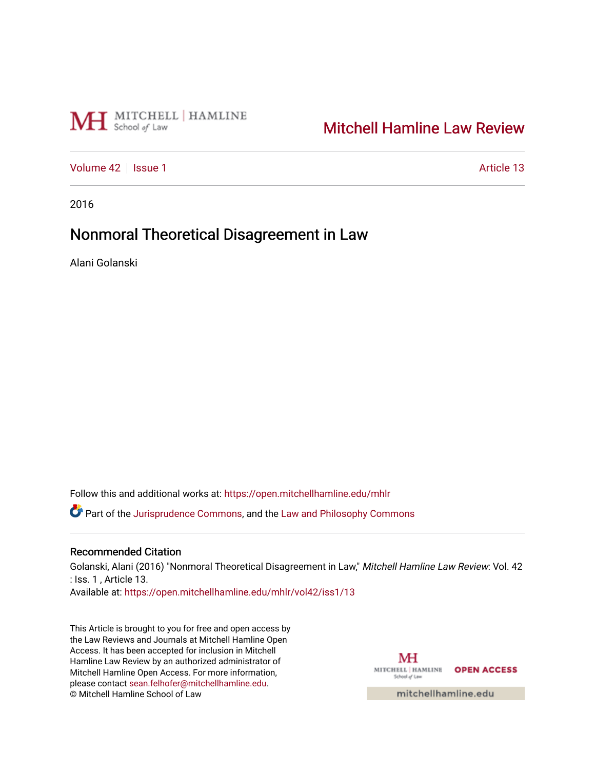# MH School of Law

# [Mitchell Hamline Law Review](https://open.mitchellhamline.edu/mhlr)

[Volume 42](https://open.mitchellhamline.edu/mhlr/vol42) | [Issue 1](https://open.mitchellhamline.edu/mhlr/vol42/iss1) Article 13

2016

# Nonmoral Theoretical Disagreement in Law

Alani Golanski

Follow this and additional works at: [https://open.mitchellhamline.edu/mhlr](https://open.mitchellhamline.edu/mhlr?utm_source=open.mitchellhamline.edu%2Fmhlr%2Fvol42%2Fiss1%2F13&utm_medium=PDF&utm_campaign=PDFCoverPages) 

**C** Part of the [Jurisprudence Commons](http://network.bepress.com/hgg/discipline/610?utm_source=open.mitchellhamline.edu%2Fmhlr%2Fvol42%2Fiss1%2F13&utm_medium=PDF&utm_campaign=PDFCoverPages), and the Law and Philosophy Commons

### Recommended Citation

Golanski, Alani (2016) "Nonmoral Theoretical Disagreement in Law," Mitchell Hamline Law Review: Vol. 42 : Iss. 1 , Article 13.

Available at: [https://open.mitchellhamline.edu/mhlr/vol42/iss1/13](https://open.mitchellhamline.edu/mhlr/vol42/iss1/13?utm_source=open.mitchellhamline.edu%2Fmhlr%2Fvol42%2Fiss1%2F13&utm_medium=PDF&utm_campaign=PDFCoverPages)

This Article is brought to you for free and open access by the Law Reviews and Journals at Mitchell Hamline Open Access. It has been accepted for inclusion in Mitchell Hamline Law Review by an authorized administrator of Mitchell Hamline Open Access. For more information, please contact [sean.felhofer@mitchellhamline.edu.](mailto:sean.felhofer@mitchellhamline.edu) © Mitchell Hamline School of Law

MH MITCHELL | HAMLINE OPEN ACCESS School of Law

mitchellhamline.edu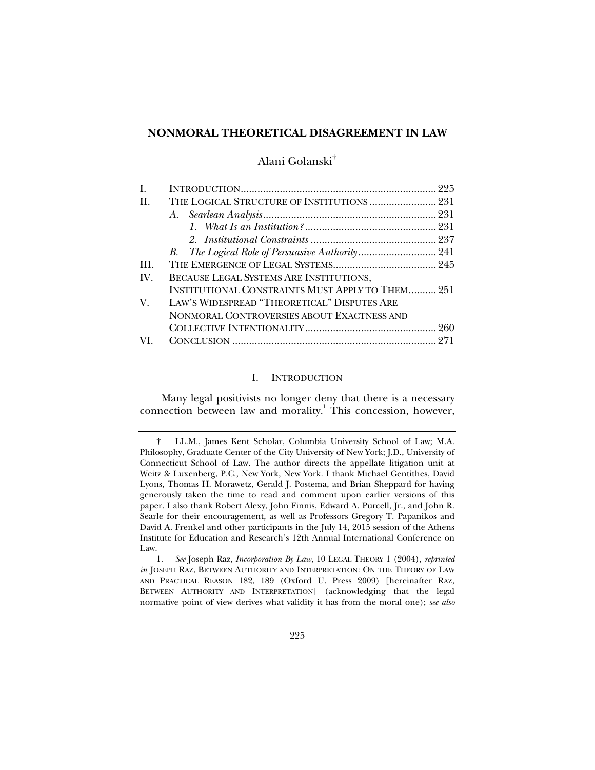### **NONMORAL THEORETICAL DISAGREEMENT IN LAW**

# Alani Golanski†

| H.  | THE LOGICAL STRUCTURE OF INSTITUTIONS  231              |  |
|-----|---------------------------------------------------------|--|
|     | A.                                                      |  |
|     |                                                         |  |
|     |                                                         |  |
|     |                                                         |  |
| TH. |                                                         |  |
| IV. | BECAUSE LEGAL SYSTEMS ARE INSTITUTIONS,                 |  |
|     | <b>INSTITUTIONAL CONSTRAINTS MUST APPLY TO THEM 251</b> |  |
| V.  | LAW'S WIDESPREAD "THEORETICAL" DISPUTES ARE             |  |
|     | NONMORAL CONTROVERSIES ABOUT EXACTNESS AND              |  |
|     |                                                         |  |
| VI. |                                                         |  |

#### I. INTRODUCTION

Many legal positivists no longer deny that there is a necessary connection between law and morality.<sup>1</sup> This concession, however,

 <sup>†</sup> LL.M., James Kent Scholar, Columbia University School of Law; M.A. Philosophy, Graduate Center of the City University of New York; J.D., University of Connecticut School of Law. The author directs the appellate litigation unit at Weitz & Luxenberg, P.C., New York, New York. I thank Michael Gentithes, David Lyons, Thomas H. Morawetz, Gerald J. Postema, and Brian Sheppard for having generously taken the time to read and comment upon earlier versions of this paper. I also thank Robert Alexy, John Finnis, Edward A. Purcell, Jr., and John R. Searle for their encouragement, as well as Professors Gregory T. Papanikos and David A. Frenkel and other participants in the July 14, 2015 session of the Athens Institute for Education and Research's 12th Annual International Conference on Law.

 <sup>1.</sup> *See* Joseph Raz, *Incorporation By Law*, 10 LEGAL THEORY 1 (2004), *reprinted in* JOSEPH RAZ, BETWEEN AUTHORITY AND INTERPRETATION: ON THE THEORY OF LAW AND PRACTICAL REASON 182, 189 (Oxford U. Press 2009) [hereinafter RAZ, BETWEEN AUTHORITY AND INTERPRETATION] (acknowledging that the legal normative point of view derives what validity it has from the moral one); *see also*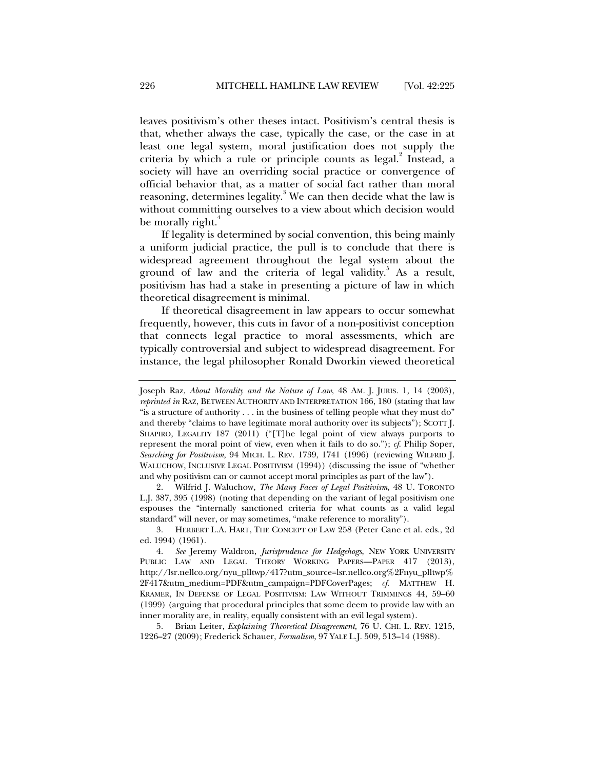leaves positivism's other theses intact. Positivism's central thesis is that, whether always the case, typically the case, or the case in at least one legal system, moral justification does not supply the criteria by which a rule or principle counts as legal. $^2$  Instead, a society will have an overriding social practice or convergence of official behavior that, as a matter of social fact rather than moral reasoning, determines legality. $^3$  We can then decide what the law is without committing ourselves to a view about which decision would be morally right.<sup>4</sup>

If legality is determined by social convention, this being mainly a uniform judicial practice, the pull is to conclude that there is widespread agreement throughout the legal system about the ground of law and the criteria of legal validity.<sup>5</sup> As a result, positivism has had a stake in presenting a picture of law in which theoretical disagreement is minimal.

If theoretical disagreement in law appears to occur somewhat frequently, however, this cuts in favor of a non-positivist conception that connects legal practice to moral assessments, which are typically controversial and subject to widespread disagreement. For instance, the legal philosopher Ronald Dworkin viewed theoretical

 2. Wilfrid J. Waluchow, *The Many Faces of Legal Positivism*, 48 U. TORONTO L.J. 387, 395 (1998) (noting that depending on the variant of legal positivism one espouses the "internally sanctioned criteria for what counts as a valid legal standard" will never, or may sometimes, "make reference to morality").

 3. HERBERT L.A. HART, THE CONCEPT OF LAW 258 (Peter Cane et al. eds., 2d ed. 1994) (1961).

 4. *See* Jeremy Waldron, *Jurisprudence for Hedgehogs*, NEW YORK UNIVERSITY PUBLIC LAW AND LEGAL THEORY WORKING PAPERS-PAPER 417 (2013), http://lsr.nellco.org/nyu\_plltwp/417?utm\_source=lsr.nellco.org%2Fnyu\_plltwp% 2F417&utm\_medium=PDF&utm\_campaign=PDFCoverPages; *cf*. MATTHEW H. KRAMER, IN DEFENSE OF LEGAL POSITIVISM: LAW WITHOUT TRIMMINGS 44, 59–60 (1999) (arguing that procedural principles that some deem to provide law with an inner morality are, in reality, equally consistent with an evil legal system).

 5. Brian Leiter, *Explaining Theoretical Disagreement*, 76 U. CHI. L. REV. 1215, 1226–27 (2009); Frederick Schauer, *Formalism*, 97 YALE L.J. 509, 513–14 (1988).

Joseph Raz, *About Morality and the Nature of Law*, 48 AM. J. JURIS. 1, 14 (2003), *reprinted in* RAZ, BETWEEN AUTHORITY AND INTERPRETATION 166, 180 (stating that law "is a structure of authority . . . in the business of telling people what they must do" and thereby "claims to have legitimate moral authority over its subjects"); SCOTT J. SHAPIRO, LEGALITY 187 (2011) ("[T]he legal point of view always purports to represent the moral point of view, even when it fails to do so."); *cf*. Philip Soper, *Searching for Positivism*, 94 MICH. L. REV. 1739, 1741 (1996) (reviewing WILFRID J. WALUCHOW, INCLUSIVE LEGAL POSITIVISM (1994)) (discussing the issue of "whether and why positivism can or cannot accept moral principles as part of the law").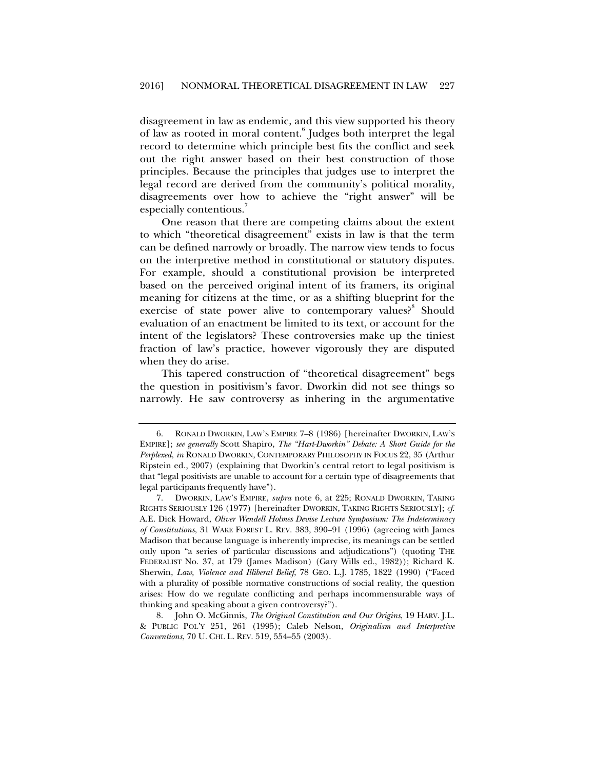disagreement in law as endemic, and this view supported his theory of law as rooted in moral content.<sup>6</sup> Judges both interpret the legal record to determine which principle best fits the conflict and seek out the right answer based on their best construction of those principles. Because the principles that judges use to interpret the legal record are derived from the community's political morality, disagreements over how to achieve the "right answer" will be especially contentious.

One reason that there are competing claims about the extent to which "theoretical disagreement" exists in law is that the term can be defined narrowly or broadly. The narrow view tends to focus on the interpretive method in constitutional or statutory disputes. For example, should a constitutional provision be interpreted based on the perceived original intent of its framers, its original meaning for citizens at the time, or as a shifting blueprint for the exercise of state power alive to contemporary values?<sup>8</sup> Should evaluation of an enactment be limited to its text, or account for the intent of the legislators? These controversies make up the tiniest fraction of law's practice, however vigorously they are disputed when they do arise.

This tapered construction of "theoretical disagreement" begs the question in positivism's favor. Dworkin did not see things so narrowly. He saw controversy as inhering in the argumentative

 <sup>6.</sup> RONALD DWORKIN, LAW'S EMPIRE 7–8 (1986) [hereinafter DWORKIN, LAW'S EMPIRE]; *see generally* Scott Shapiro, *The "Hart-Dworkin" Debate: A Short Guide for the Perplexed*, *in* RONALD DWORKIN, CONTEMPORARY PHILOSOPHY IN FOCUS 22, 35 (Arthur Ripstein ed., 2007) (explaining that Dworkin's central retort to legal positivism is that "legal positivists are unable to account for a certain type of disagreements that legal participants frequently have").

 <sup>7.</sup> DWORKIN, LAW'S EMPIRE, *supra* note 6, at 225; RONALD DWORKIN, TAKING RIGHTS SERIOUSLY 126 (1977) [hereinafter DWORKIN, TAKING RIGHTS SERIOUSLY]; *cf*. A.E. Dick Howard, *Oliver Wendell Holmes Devise Lecture Symposium: The Indeterminacy of Constitutions*, 31 WAKE FOREST L. REV. 383, 390–91 (1996) (agreeing with James Madison that because language is inherently imprecise, its meanings can be settled only upon "a series of particular discussions and adjudications") (quoting THE FEDERALIST No. 37, at 179 (James Madison) (Gary Wills ed., 1982)); Richard K. Sherwin, *Law, Violence and Illiberal Belief*, 78 GEO. L.J. 1785, 1822 (1990) ("Faced with a plurality of possible normative constructions of social reality, the question arises: How do we regulate conflicting and perhaps incommensurable ways of thinking and speaking about a given controversy?").

 <sup>8.</sup> John O. McGinnis, *The Original Constitution and Our Origins*, 19 HARV. J.L. & PUBLIC POL'Y 251, 261 (1995); Caleb Nelson, *Originalism and Interpretive Conventions*, 70 U. CHI. L. REV. 519, 554–55 (2003).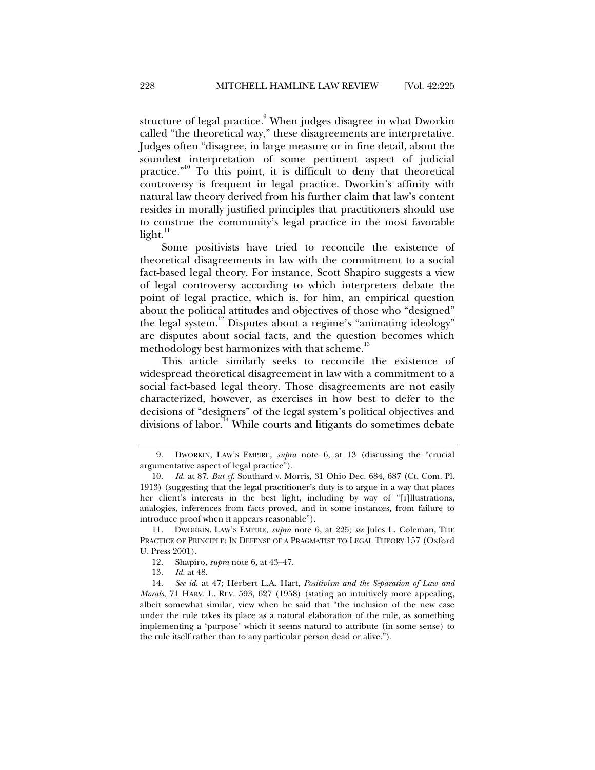structure of legal practice. $^9$  When judges disagree in what Dworkin called "the theoretical way," these disagreements are interpretative. Judges often "disagree, in large measure or in fine detail, about the soundest interpretation of some pertinent aspect of judicial practice."10 To this point, it is difficult to deny that theoretical controversy is frequent in legal practice. Dworkin's affinity with natural law theory derived from his further claim that law's content resides in morally justified principles that practitioners should use to construe the community's legal practice in the most favorable  $light.<sup>11</sup>$ 

Some positivists have tried to reconcile the existence of theoretical disagreements in law with the commitment to a social fact-based legal theory. For instance, Scott Shapiro suggests a view of legal controversy according to which interpreters debate the point of legal practice, which is, for him, an empirical question about the political attitudes and objectives of those who "designed" the legal system.<sup>12</sup> Disputes about a regime's "animating ideology" are disputes about social facts, and the question becomes which methodology best harmonizes with that scheme.<sup>13</sup>

This article similarly seeks to reconcile the existence of widespread theoretical disagreement in law with a commitment to a social fact-based legal theory. Those disagreements are not easily characterized, however, as exercises in how best to defer to the decisions of "designers" of the legal system's political objectives and divisions of labor.<sup>14</sup> While courts and litigants do sometimes debate

 <sup>9.</sup> DWORKIN, LAW'S EMPIRE, *supra* note 6, at 13 (discussing the "crucial argumentative aspect of legal practice").

 <sup>10.</sup> *Id.* at 87. *But cf*. Southard v. Morris, 31 Ohio Dec. 684, 687 (Ct. Com. Pl. 1913) (suggesting that the legal practitioner's duty is to argue in a way that places her client's interests in the best light, including by way of "[i]llustrations, analogies, inferences from facts proved, and in some instances, from failure to introduce proof when it appears reasonable").

 <sup>11.</sup> DWORKIN, LAW'S EMPIRE, *supra* note 6, at 225; *see* Jules L. Coleman, THE PRACTICE OF PRINCIPLE: IN DEFENSE OF A PRAGMATIST TO LEGAL THEORY 157 (Oxford U. Press 2001).

 <sup>12.</sup> Shapiro, *supra* note 6, at 43–47.

 <sup>13.</sup> *Id.* at 48.

 <sup>14.</sup> *See id.* at 47; Herbert L.A. Hart, *Positivism and the Separation of Law and Morals*, 71 HARV. L. REV. 593, 627 (1958) (stating an intuitively more appealing, albeit somewhat similar, view when he said that "the inclusion of the new case under the rule takes its place as a natural elaboration of the rule, as something implementing a 'purpose' which it seems natural to attribute (in some sense) to the rule itself rather than to any particular person dead or alive.").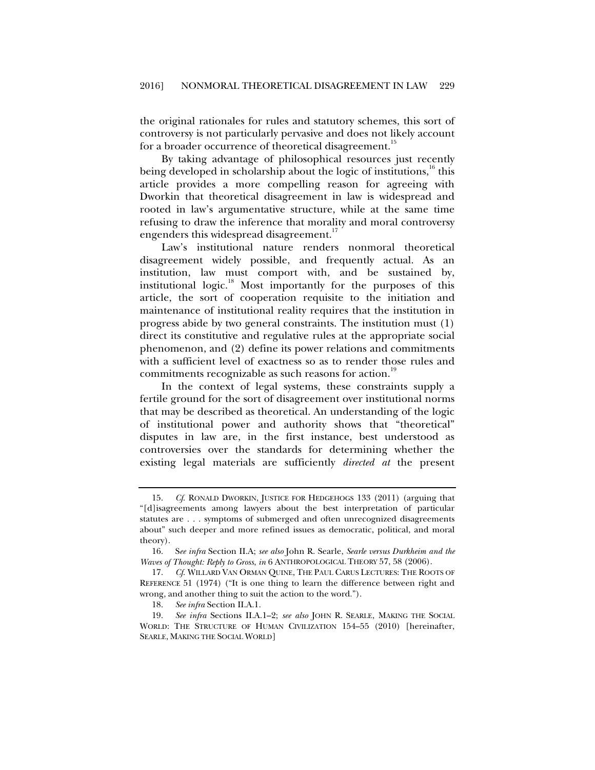the original rationales for rules and statutory schemes, this sort of controversy is not particularly pervasive and does not likely account for a broader occurrence of theoretical disagreement.<sup>15</sup>

By taking advantage of philosophical resources just recently being developed in scholarship about the logic of institutions,<sup>16</sup> this article provides a more compelling reason for agreeing with Dworkin that theoretical disagreement in law is widespread and rooted in law's argumentative structure, while at the same time refusing to draw the inference that morality and moral controversy engenders this widespread disagreement.<sup>17</sup>

Law's institutional nature renders nonmoral theoretical disagreement widely possible, and frequently actual. As an institution, law must comport with, and be sustained by, institutional logic. $18$  Most importantly for the purposes of this article, the sort of cooperation requisite to the initiation and maintenance of institutional reality requires that the institution in progress abide by two general constraints. The institution must (1) direct its constitutive and regulative rules at the appropriate social phenomenon, and (2) define its power relations and commitments with a sufficient level of exactness so as to render those rules and commitments recognizable as such reasons for action.<sup>19</sup>

In the context of legal systems, these constraints supply a fertile ground for the sort of disagreement over institutional norms that may be described as theoretical. An understanding of the logic of institutional power and authority shows that "theoretical" disputes in law are, in the first instance, best understood as controversies over the standards for determining whether the existing legal materials are sufficiently *directed at* the present

 <sup>15.</sup> *Cf*. RONALD DWORKIN, JUSTICE FOR HEDGEHOGS 133 (2011) (arguing that "[d]isagreements among lawyers about the best interpretation of particular statutes are . . . symptoms of submerged and often unrecognized disagreements about" such deeper and more refined issues as democratic, political, and moral theory).

 <sup>16.</sup> S*ee infra* Section II.A; *see also* John R. Searle, *Searle versus Durkheim and the Waves of Thought: Reply to Gross*, *in* 6 ANTHROPOLOGICAL THEORY 57, 58 (2006).

 <sup>17.</sup> *Cf*. WILLARD VAN ORMAN QUINE, THE PAUL CARUS LECTURES: THE ROOTS OF REFERENCE 51 (1974) ("It is one thing to learn the difference between right and wrong, and another thing to suit the action to the word.").

 <sup>18.</sup> *See infra* Section II.A.1.

 <sup>19.</sup> *See infra* Sections II.A.1–2; *see also* JOHN R. SEARLE, MAKING THE SOCIAL WORLD: THE STRUCTURE OF HUMAN CIVILIZATION 154–55 (2010) [hereinafter, SEARLE, MAKING THE SOCIAL WORLD]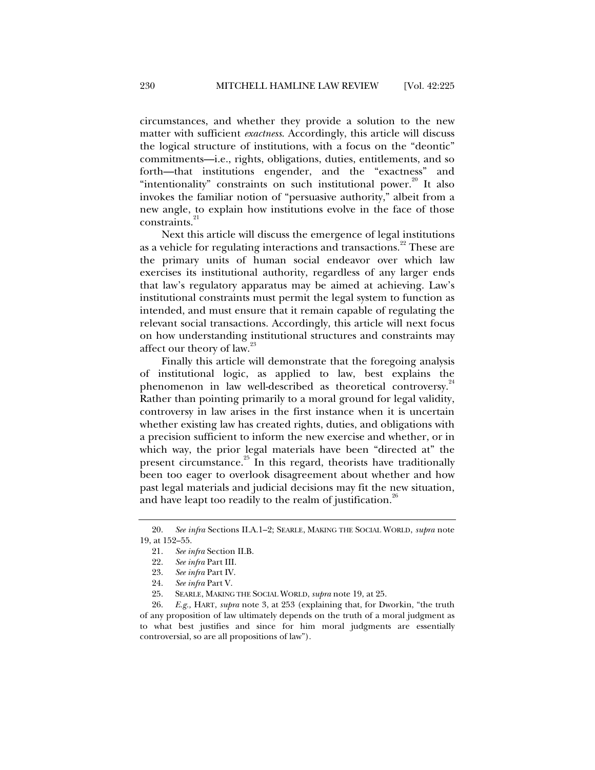circumstances, and whether they provide a solution to the new matter with sufficient *exactness*. Accordingly, this article will discuss the logical structure of institutions, with a focus on the "deontic" commitments—i.e., rights, obligations, duties, entitlements, and so forth—that institutions engender, and the "exactness" and "intentionality" constraints on such institutional power.<sup>20</sup> It also invokes the familiar notion of "persuasive authority," albeit from a new angle, to explain how institutions evolve in the face of those constraints.<sup>21</sup>

Next this article will discuss the emergence of legal institutions as a vehicle for regulating interactions and transactions.<sup>22</sup> These are the primary units of human social endeavor over which law exercises its institutional authority, regardless of any larger ends that law's regulatory apparatus may be aimed at achieving. Law's institutional constraints must permit the legal system to function as intended, and must ensure that it remain capable of regulating the relevant social transactions. Accordingly, this article will next focus on how understanding institutional structures and constraints may affect our theory of law.<sup>23</sup>

Finally this article will demonstrate that the foregoing analysis of institutional logic, as applied to law, best explains the phenomenon in law well-described as theoretical controversy.<sup>24</sup> Rather than pointing primarily to a moral ground for legal validity, controversy in law arises in the first instance when it is uncertain whether existing law has created rights, duties, and obligations with a precision sufficient to inform the new exercise and whether, or in which way, the prior legal materials have been "directed at" the present circumstance. $25$  In this regard, theorists have traditionally been too eager to overlook disagreement about whether and how past legal materials and judicial decisions may fit the new situation, and have leapt too readily to the realm of justification.<sup>26</sup>

 26. *E.g.,* HART, *supra* note 3, at 253 (explaining that, for Dworkin, "the truth of any proposition of law ultimately depends on the truth of a moral judgment as to what best justifies and since for him moral judgments are essentially controversial, so are all propositions of law").

 <sup>20.</sup> *See infra* Sections II.A.1–2; SEARLE, MAKING THE SOCIAL WORLD, *supra* note 19, at 152–55.

 <sup>21.</sup> *See infra* Section II.B.

 <sup>22.</sup> *See infra* Part III.

 <sup>23.</sup> *See infra* Part IV.

 <sup>24.</sup> *See infra* Part V.

 <sup>25.</sup> SEARLE, MAKING THE SOCIAL WORLD, *supra* note 19, at 25.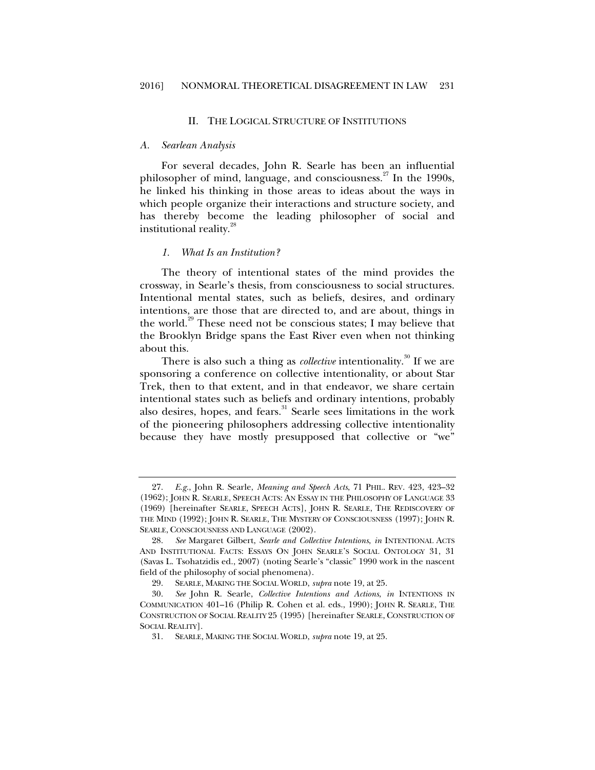#### II. THE LOGICAL STRUCTURE OF INSTITUTIONS

#### *A. Searlean Analysis*

For several decades, John R. Searle has been an influential philosopher of mind, language, and consciousness.<sup>27</sup> In the 1990s, he linked his thinking in those areas to ideas about the ways in which people organize their interactions and structure society, and has thereby become the leading philosopher of social and institutional reality.<sup>28</sup>

#### *1. What Is an Institution?*

The theory of intentional states of the mind provides the crossway, in Searle's thesis, from consciousness to social structures. Intentional mental states, such as beliefs, desires, and ordinary intentions, are those that are directed to, and are about, things in the world.<sup>29</sup> These need not be conscious states; I may believe that the Brooklyn Bridge spans the East River even when not thinking about this.

There is also such a thing as *collective* intentionality.<sup>30</sup> If we are sponsoring a conference on collective intentionality, or about Star Trek, then to that extent, and in that endeavor, we share certain intentional states such as beliefs and ordinary intentions, probably also desires, hopes, and fears.<sup>31</sup> Searle sees limitations in the work of the pioneering philosophers addressing collective intentionality because they have mostly presupposed that collective or "we"

 <sup>27.</sup> *E.g.*, John R. Searle, *Meaning and Speech Acts*, 71 PHIL. REV. 423, 423–32 (1962); JOHN R. SEARLE, SPEECH ACTS: AN ESSAY IN THE PHILOSOPHY OF LANGUAGE 33 (1969) [hereinafter SEARLE, SPEECH ACTS], JOHN R. SEARLE, THE REDISCOVERY OF THE MIND (1992); JOHN R. SEARLE, THE MYSTERY OF CONSCIOUSNESS (1997); JOHN R. SEARLE, CONSCIOUSNESS AND LANGUAGE (2002).

 <sup>28.</sup> *See* Margaret Gilbert, *Searle and Collective Intentions*, *in* INTENTIONAL ACTS AND INSTITUTIONAL FACTS: ESSAYS ON JOHN SEARLE'S SOCIAL ONTOLOGY 31, 31 (Savas L. Tsohatzidis ed., 2007) (noting Searle's "classic" 1990 work in the nascent field of the philosophy of social phenomena).

 <sup>29.</sup> SEARLE, MAKING THE SOCIAL WORLD, *supra* note 19, at 25.

 <sup>30.</sup> *See* John R. Searle, *Collective Intentions and Actions*, *in* INTENTIONS IN COMMUNICATION 401–16 (Philip R. Cohen et al. eds., 1990); JOHN R. SEARLE, THE CONSTRUCTION OF SOCIAL REALITY 25 (1995) [hereinafter SEARLE, CONSTRUCTION OF SOCIAL REALITY].

 <sup>31.</sup> SEARLE, MAKING THE SOCIAL WORLD, *supra* note 19, at 25.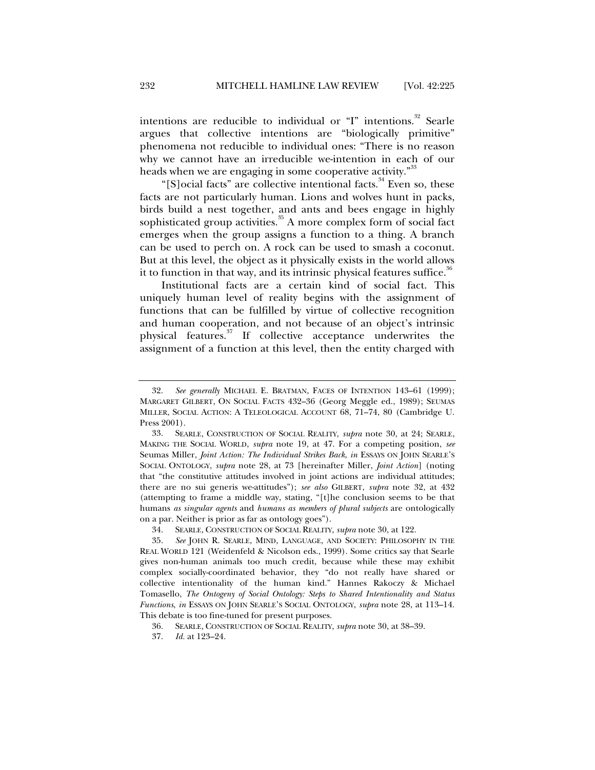intentions are reducible to individual or "I" intentions.<sup>32</sup> Searle argues that collective intentions are "biologically primitive" phenomena not reducible to individual ones: "There is no reason why we cannot have an irreducible we-intention in each of our heads when we are engaging in some cooperative activity."<sup>33</sup>

"[S]ocial facts" are collective intentional facts.<sup>34</sup> Even so, these facts are not particularly human. Lions and wolves hunt in packs, birds build a nest together, and ants and bees engage in highly sophisticated group activities. $35$  A more complex form of social fact emerges when the group assigns a function to a thing. A branch can be used to perch on. A rock can be used to smash a coconut. But at this level, the object as it physically exists in the world allows it to function in that way, and its intrinsic physical features suffice.<sup>36</sup>

Institutional facts are a certain kind of social fact. This uniquely human level of reality begins with the assignment of functions that can be fulfilled by virtue of collective recognition and human cooperation, and not because of an object's intrinsic physical features.37 If collective acceptance underwrites the assignment of a function at this level, then the entity charged with

 <sup>32.</sup> *See generally* MICHAEL E. BRATMAN, FACES OF INTENTION 143–61 (1999); MARGARET GILBERT, ON SOCIAL FACTS 432–36 (Georg Meggle ed., 1989); SEUMAS MILLER, SOCIAL ACTION: A TELEOLOGICAL ACCOUNT 68, 71–74, 80 (Cambridge U. Press 2001).

 <sup>33.</sup> SEARLE, CONSTRUCTION OF SOCIAL REALITY, *supra* note 30, at 24; SEARLE, MAKING THE SOCIAL WORLD, *supra* note 19, at 47. For a competing position, *see*  Seumas Miller, *Joint Action: The Individual Strikes Back*, *in* ESSAYS ON JOHN SEARLE'S SOCIAL ONTOLOGY, *supra* note 28, at 73 [hereinafter Miller, *Joint Action*] (noting that "the constitutive attitudes involved in joint actions are individual attitudes; there are no sui generis we-attitudes"); *see also* GILBERT, *supra* note 32, at 432 (attempting to frame a middle way, stating, "[t]he conclusion seems to be that humans *as singular agents* and *humans as members of plural subjects* are ontologically on a par. Neither is prior as far as ontology goes").

 <sup>34.</sup> SEARLE, CONSTRUCTION OF SOCIAL REALITY, *supra* note 30, at 122.

 <sup>35.</sup> *See* JOHN R. SEARLE, MIND, LANGUAGE, AND SOCIETY: PHILOSOPHY IN THE REAL WORLD 121 (Weidenfeld & Nicolson eds., 1999). Some critics say that Searle gives non-human animals too much credit, because while these may exhibit complex socially-coordinated behavior, they "do not really have shared or collective intentionality of the human kind." Hannes Rakoczy & Michael Tomasello, *The Ontogeny of Social Ontology: Steps to Shared Intentionality and Status Functions*, *in* ESSAYS ON JOHN SEARLE'S SOCIAL ONTOLOGY, *supra* note 28, at 113–14. This debate is too fine-tuned for present purposes.

 <sup>36.</sup> SEARLE, CONSTRUCTION OF SOCIAL REALITY, *supra* note 30, at 38–39.

 <sup>37.</sup> *Id.* at 123–24.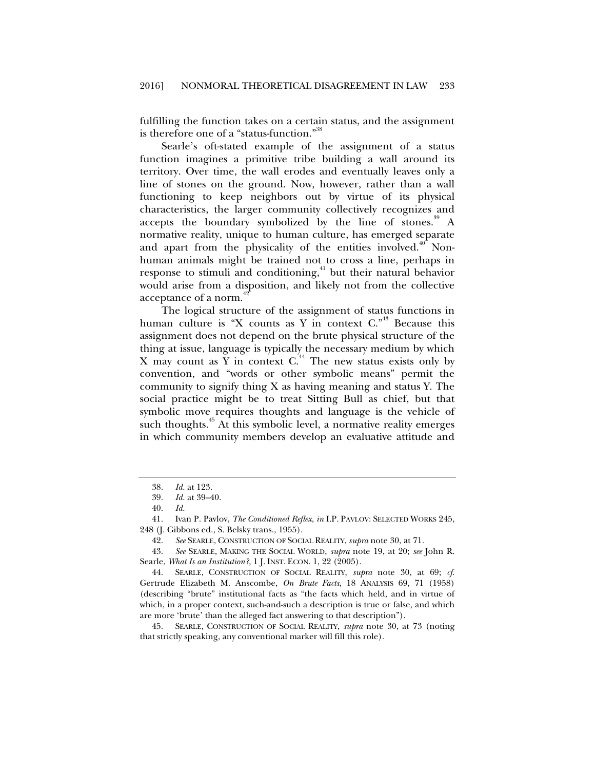fulfilling the function takes on a certain status, and the assignment is therefore one of a "status-function."<sup>38</sup>

Searle's oft-stated example of the assignment of a status function imagines a primitive tribe building a wall around its territory. Over time, the wall erodes and eventually leaves only a line of stones on the ground. Now, however, rather than a wall functioning to keep neighbors out by virtue of its physical characteristics, the larger community collectively recognizes and accepts the boundary symbolized by the line of stones.<sup>39</sup> A normative reality, unique to human culture, has emerged separate and apart from the physicality of the entities involved.<sup>40</sup> Nonhuman animals might be trained not to cross a line, perhaps in response to stimuli and conditioning,<sup>41</sup> but their natural behavior would arise from a disposition, and likely not from the collective acceptance of a norm.

The logical structure of the assignment of status functions in human culture is "X counts as Y in context  $C.$ <sup>43</sup> Because this assignment does not depend on the brute physical structure of the thing at issue, language is typically the necessary medium by which X may count as Y in context  $C<sup>44</sup>$ . The new status exists only by convention, and "words or other symbolic means" permit the community to signify thing X as having meaning and status Y. The social practice might be to treat Sitting Bull as chief, but that symbolic move requires thoughts and language is the vehicle of such thoughts.<sup>45</sup> At this symbolic level, a normative reality emerges in which community members develop an evaluative attitude and

 <sup>38.</sup> *Id.* at 123.

 <sup>39.</sup> *Id.* at 39–40.

 <sup>40.</sup> *Id.*

 <sup>41.</sup> Ivan P. Pavlov, *The Conditioned Reflex*, *in* I.P. PAVLOV: SELECTED WORKS 245, 248 (J. Gibbons ed., S. Belsky trans., 1955).

 <sup>42.</sup> *See* SEARLE, CONSTRUCTION OF SOCIAL REALITY, *supra* note 30, at 71.

 <sup>43.</sup> *See* SEARLE, MAKING THE SOCIAL WORLD, *supra* note 19, at 20; *see* John R. Searle, *What Is an Institution?*, 1 J. INST. ECON. 1, 22 (2005).

 <sup>44.</sup> SEARLE, CONSTRUCTION OF SOCIAL REALITY, *supra* note 30, at 69; *cf*. Gertrude Elizabeth M. Anscombe, *On Brute Facts*, 18 ANALYSIS 69, 71 (1958) (describing "brute" institutional facts as "the facts which held, and in virtue of which, in a proper context, such-and-such a description is true or false, and which are more 'brute' than the alleged fact answering to that description").

 <sup>45.</sup> SEARLE, CONSTRUCTION OF SOCIAL REALITY, *supra* note 30, at 73 (noting that strictly speaking, any conventional marker will fill this role).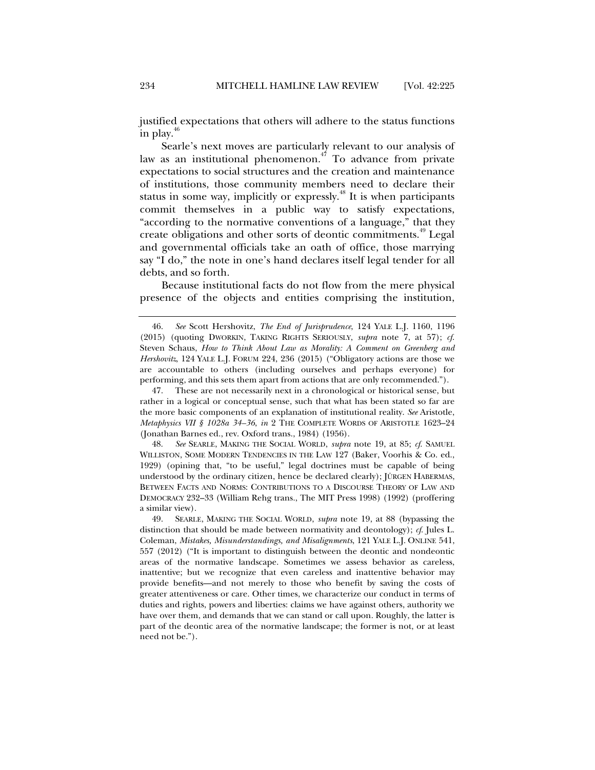justified expectations that others will adhere to the status functions in play. $4$ 

Searle's next moves are particularly relevant to our analysis of law as an institutional phenomenon.<sup>47</sup> To advance from private expectations to social structures and the creation and maintenance of institutions, those community members need to declare their status in some way, implicitly or expressly.<sup>48</sup> It is when participants commit themselves in a public way to satisfy expectations, "according to the normative conventions of a language," that they create obligations and other sorts of deontic commitments.<sup>49</sup> Legal and governmental officials take an oath of office, those marrying say "I do," the note in one's hand declares itself legal tender for all debts, and so forth.

Because institutional facts do not flow from the mere physical presence of the objects and entities comprising the institution,

 47. These are not necessarily next in a chronological or historical sense, but rather in a logical or conceptual sense, such that what has been stated so far are the more basic components of an explanation of institutional reality. *See* Aristotle, *Metaphysics VII § 1028a 34–36*, *in* 2 THE COMPLETE WORDS OF ARISTOTLE 1623–24 (Jonathan Barnes ed., rev. Oxford trans., 1984) (1956).

 48. *See* SEARLE, MAKING THE SOCIAL WORLD, *supra* note 19, at 85; *cf*. SAMUEL WILLISTON, SOME MODERN TENDENCIES IN THE LAW 127 (Baker, Voorhis & Co. ed., 1929) (opining that, "to be useful," legal doctrines must be capable of being understood by the ordinary citizen, hence be declared clearly); JÜRGEN HABERMAS, BETWEEN FACTS AND NORMS: CONTRIBUTIONS TO A DISCOURSE THEORY OF LAW AND DEMOCRACY 232–33 (William Rehg trans., The MIT Press 1998) (1992) (proffering a similar view).

 <sup>46.</sup> *See* Scott Hershovitz, *The End of Jurisprudence*, 124 YALE L.J. 1160, 1196 (2015) (quoting DWORKIN, TAKING RIGHTS SERIOUSLY, *supra* note 7, at 57); *cf*. Steven Schaus, *How to Think About Law as Morality: A Comment on Greenberg and Hershovitz*, 124 YALE L.J. FORUM 224, 236 (2015) ("Obligatory actions are those we are accountable to others (including ourselves and perhaps everyone) for performing, and this sets them apart from actions that are only recommended.").

 <sup>49.</sup> SEARLE, MAKING THE SOCIAL WORLD, *supra* note 19, at 88 (bypassing the distinction that should be made between normativity and deontology); *cf*. Jules L. Coleman, *Mistakes, Misunderstandings, and Misalignments*, 121 YALE L.J. ONLINE 541, 557 (2012) ("It is important to distinguish between the deontic and nondeontic areas of the normative landscape. Sometimes we assess behavior as careless, inattentive; but we recognize that even careless and inattentive behavior may provide benefits—and not merely to those who benefit by saving the costs of greater attentiveness or care. Other times, we characterize our conduct in terms of duties and rights, powers and liberties: claims we have against others, authority we have over them, and demands that we can stand or call upon. Roughly, the latter is part of the deontic area of the normative landscape; the former is not, or at least need not be.").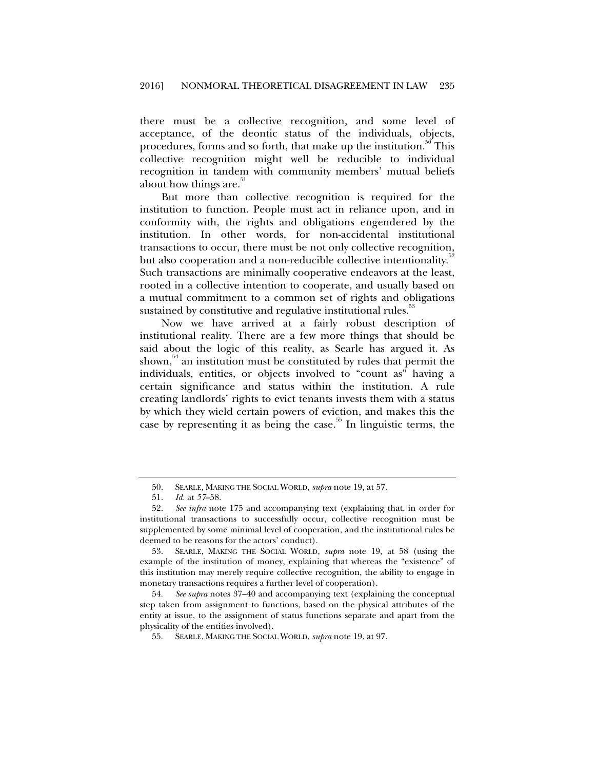there must be a collective recognition, and some level of acceptance, of the deontic status of the individuals, objects, procedures, forms and so forth, that make up the institution.<sup>30</sup> This collective recognition might well be reducible to individual recognition in tandem with community members' mutual beliefs about how things are.<sup>51</sup>

But more than collective recognition is required for the institution to function. People must act in reliance upon, and in conformity with, the rights and obligations engendered by the institution. In other words, for non-accidental institutional transactions to occur, there must be not only collective recognition, but also cooperation and a non-reducible collective intentionality.<sup>32</sup> Such transactions are minimally cooperative endeavors at the least, rooted in a collective intention to cooperate, and usually based on a mutual commitment to a common set of rights and obligations sustained by constitutive and regulative institutional rules.<sup>53</sup>

Now we have arrived at a fairly robust description of institutional reality. There are a few more things that should be said about the logic of this reality, as Searle has argued it. As shown, $54$  an institution must be constituted by rules that permit the individuals, entities, or objects involved to "count as" having a certain significance and status within the institution. A rule creating landlords' rights to evict tenants invests them with a status by which they wield certain powers of eviction, and makes this the case by representing it as being the case.<sup>55</sup> In linguistic terms, the

 <sup>50.</sup> SEARLE, MAKING THE SOCIAL WORLD, *supra* note 19, at 57.

 <sup>51.</sup> *Id.* at *57*–58.

 <sup>52.</sup> *See infra* note 175 and accompanying text (explaining that, in order for institutional transactions to successfully occur, collective recognition must be supplemented by some minimal level of cooperation, and the institutional rules be deemed to be reasons for the actors' conduct).

 <sup>53.</sup> SEARLE, MAKING THE SOCIAL WORLD, *supra* note 19, at 58 (using the example of the institution of money, explaining that whereas the "existence" of this institution may merely require collective recognition, the ability to engage in monetary transactions requires a further level of cooperation).

 <sup>54.</sup> *See supra* notes 37–40 and accompanying text (explaining the conceptual step taken from assignment to functions, based on the physical attributes of the entity at issue, to the assignment of status functions separate and apart from the physicality of the entities involved).

 <sup>55.</sup> SEARLE, MAKING THE SOCIAL WORLD, *supra* note 19, at 97.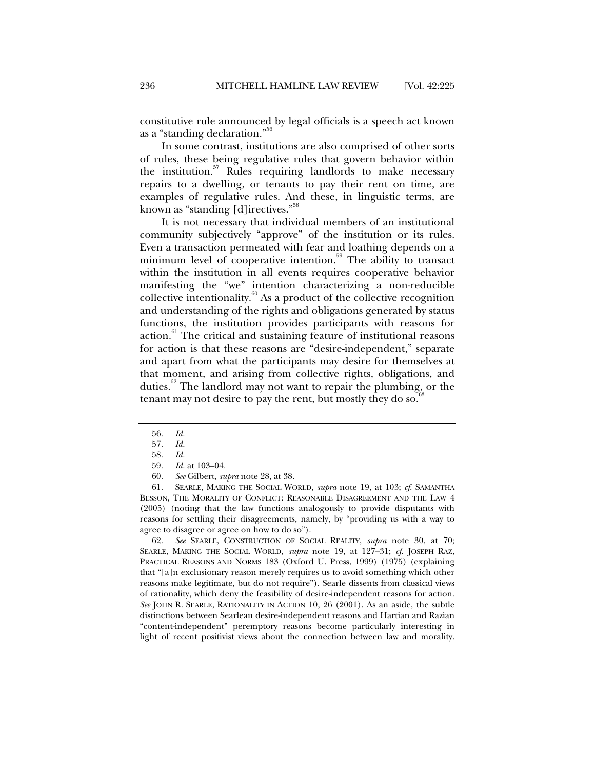constitutive rule announced by legal officials is a speech act known as a "standing declaration."56

In some contrast, institutions are also comprised of other sorts of rules, these being regulative rules that govern behavior within the institution. $57$  Rules requiring landlords to make necessary repairs to a dwelling, or tenants to pay their rent on time, are examples of regulative rules. And these, in linguistic terms, are known as "standing [d]irectives."58

It is not necessary that individual members of an institutional community subjectively "approve" of the institution or its rules. Even a transaction permeated with fear and loathing depends on a minimum level of cooperative intention.<sup>59</sup> The ability to transact within the institution in all events requires cooperative behavior manifesting the "we" intention characterizing a non-reducible collective intentionality. $60$  As a product of the collective recognition and understanding of the rights and obligations generated by status functions, the institution provides participants with reasons for action.<sup>61</sup> The critical and sustaining feature of institutional reasons for action is that these reasons are "desire-independent," separate and apart from what the participants may desire for themselves at that moment, and arising from collective rights, obligations, and duties.<sup>62</sup> The landlord may not want to repair the plumbing, or the tenant may not desire to pay the rent, but mostly they do so.

 61. SEARLE, MAKING THE SOCIAL WORLD, *supra* note 19, at 103; *cf*. SAMANTHA BESSON, THE MORALITY OF CONFLICT: REASONABLE DISAGREEMENT AND THE LAW 4 (2005) (noting that the law functions analogously to provide disputants with reasons for settling their disagreements, namely, by "providing us with a way to agree to disagree or agree on how to do so").

 62. *See* SEARLE, CONSTRUCTION OF SOCIAL REALITY, *supra* note 30, at 70; SEARLE, MAKING THE SOCIAL WORLD, *supra* note 19, at 127–31; *cf*. JOSEPH RAZ, PRACTICAL REASONS AND NORMS 183 (Oxford U. Press, 1999) (1975) (explaining that "[a]n exclusionary reason merely requires us to avoid something which other reasons make legitimate, but do not require"). Searle dissents from classical views of rationality, which deny the feasibility of desire-independent reasons for action. *See* JOHN R. SEARLE, RATIONALITY IN ACTION 10, 26 (2001). As an aside, the subtle distinctions between Searlean desire-independent reasons and Hartian and Razian "content-independent" peremptory reasons become particularly interesting in light of recent positivist views about the connection between law and morality.

 <sup>56.</sup> *Id.*

 <sup>57.</sup> *Id.*

 <sup>58.</sup> *Id.*

 <sup>59.</sup> *Id.* at 103–04.

 <sup>60.</sup> *See* Gilbert, *supra* note 28, at 38.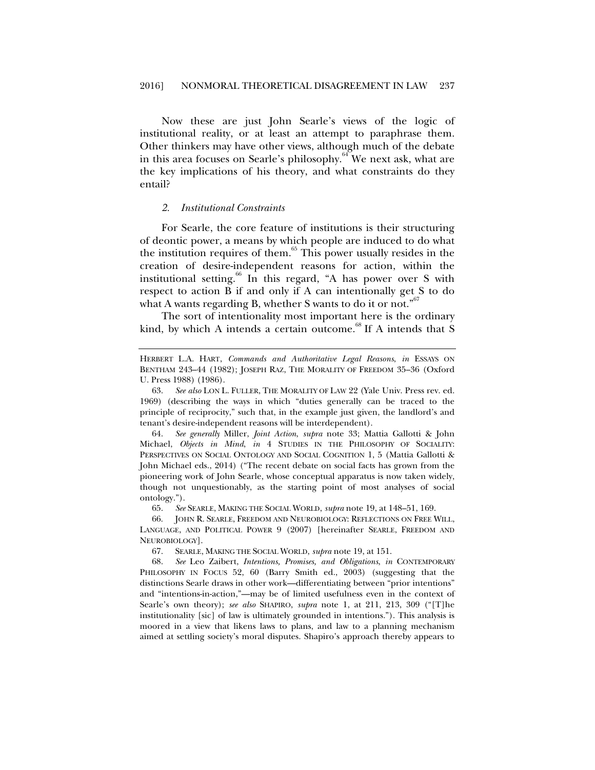Now these are just John Searle's views of the logic of institutional reality, or at least an attempt to paraphrase them. Other thinkers may have other views, although much of the debate in this area focuses on Searle's philosophy.<sup>64</sup> We next ask, what are the key implications of his theory, and what constraints do they entail?

#### *2. Institutional Constraints*

For Searle, the core feature of institutions is their structuring of deontic power, a means by which people are induced to do what the institution requires of them. $65$  This power usually resides in the creation of desire-independent reasons for action, within the institutional setting.<sup>66</sup> In this regard, "A has power over S with respect to action B if and only if A can intentionally get S to do what A wants regarding B, whether S wants to do it or not."<sup>67</sup>

The sort of intentionality most important here is the ordinary kind, by which A intends a certain outcome.<sup>68</sup> If A intends that S

 64. *See generally* Miller, *Joint Action*, *supra* note 33; Mattia Gallotti & John Michael, *Objects in Mind*, *in* 4 STUDIES IN THE PHILOSOPHY OF SOCIALITY: PERSPECTIVES ON SOCIAL ONTOLOGY AND SOCIAL COGNITION 1, 5 (Mattia Gallotti & John Michael eds., 2014) ("The recent debate on social facts has grown from the pioneering work of John Searle, whose conceptual apparatus is now taken widely, though not unquestionably, as the starting point of most analyses of social ontology.").

65. *See* SEARLE, MAKING THE SOCIAL WORLD, *supra* note 19, at 148–51, 169.

 66. JOHN R. SEARLE, FREEDOM AND NEUROBIOLOGY: REFLECTIONS ON FREE WILL, LANGUAGE, AND POLITICAL POWER 9 (2007) [hereinafter SEARLE, FREEDOM AND NEUROBIOLOGY].

67. SEARLE, MAKING THE SOCIAL WORLD, *supra* note 19, at 151.

 68. *See* Leo Zaibert, *Intentions, Promises, and Obligations*, *in* CONTEMPORARY PHILOSOPHY IN FOCUS 52, 60 (Barry Smith ed., 2003) (suggesting that the distinctions Searle draws in other work—differentiating between "prior intentions" and "intentions-in-action,"—may be of limited usefulness even in the context of Searle's own theory); *see also* SHAPIRO, *supra* note 1, at 211, 213, 309 ("[T]he institutionality [sic] of law is ultimately grounded in intentions."). This analysis is moored in a view that likens laws to plans, and law to a planning mechanism aimed at settling society's moral disputes. Shapiro's approach thereby appears to

HERBERT L.A. HART, *Commands and Authoritative Legal Reasons*, *in* ESSAYS ON BENTHAM 243–44 (1982); JOSEPH RAZ, THE MORALITY OF FREEDOM 35–36 (Oxford U. Press 1988) (1986).

 <sup>63.</sup> *See also* LON L. FULLER, THE MORALITY OF LAW 22 (Yale Univ. Press rev. ed. 1969) (describing the ways in which "duties generally can be traced to the principle of reciprocity," such that, in the example just given, the landlord's and tenant's desire-independent reasons will be interdependent).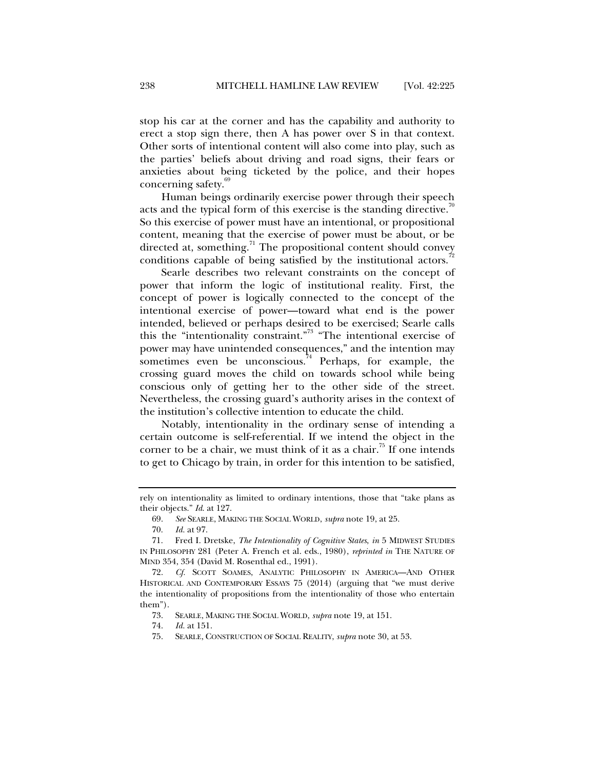stop his car at the corner and has the capability and authority to erect a stop sign there, then A has power over S in that context. Other sorts of intentional content will also come into play, such as the parties' beliefs about driving and road signs, their fears or anxieties about being ticketed by the police, and their hopes concerning safety.<sup>6</sup>

Human beings ordinarily exercise power through their speech acts and the typical form of this exercise is the standing directive.<sup>70</sup> So this exercise of power must have an intentional, or propositional content, meaning that the exercise of power must be about, or be directed at, something.<sup>71</sup> The propositional content should convey conditions capable of being satisfied by the institutional actors.<sup>7</sup>

 Searle describes two relevant constraints on the concept of power that inform the logic of institutional reality. First, the concept of power is logically connected to the concept of the intentional exercise of power—toward what end is the power intended, believed or perhaps desired to be exercised; Searle calls this the "intentionality constraint."<sup>73</sup> "The intentional exercise of power may have unintended consequences," and the intention may sometimes even be unconscious.<sup>4</sup> Perhaps, for example, the crossing guard moves the child on towards school while being conscious only of getting her to the other side of the street. Nevertheless, the crossing guard's authority arises in the context of the institution's collective intention to educate the child.

Notably, intentionality in the ordinary sense of intending a certain outcome is self-referential. If we intend the object in the corner to be a chair, we must think of it as a chair.<sup>75</sup> If one intends to get to Chicago by train, in order for this intention to be satisfied,

rely on intentionality as limited to ordinary intentions, those that "take plans as their objects." *Id*. at 127.

 <sup>69.</sup> *See* SEARLE, MAKING THE SOCIAL WORLD, *supra* note 19, at 25.

 <sup>70.</sup> *Id.* at 97.

 <sup>71.</sup> Fred I. Dretske, *The Intentionality of Cognitive States*, *in* 5 MIDWEST STUDIES IN PHILOSOPHY 281 (Peter A. French et al. eds., 1980), *reprinted in* THE NATURE OF MIND 354, 354 (David M. Rosenthal ed., 1991).

 <sup>72.</sup> *Cf.* SCOTT SOAMES, ANALYTIC PHILOSOPHY IN AMERICA—AND OTHER HISTORICAL AND CONTEMPORARY ESSAYS 75 (2014) (arguing that "we must derive the intentionality of propositions from the intentionality of those who entertain them").

 <sup>73.</sup> SEARLE, MAKING THE SOCIAL WORLD, *supra* note 19, at 151.

 <sup>74.</sup> *Id.* at 151.

 <sup>75.</sup> SEARLE, CONSTRUCTION OF SOCIAL REALITY, *supra* note 30, at 53.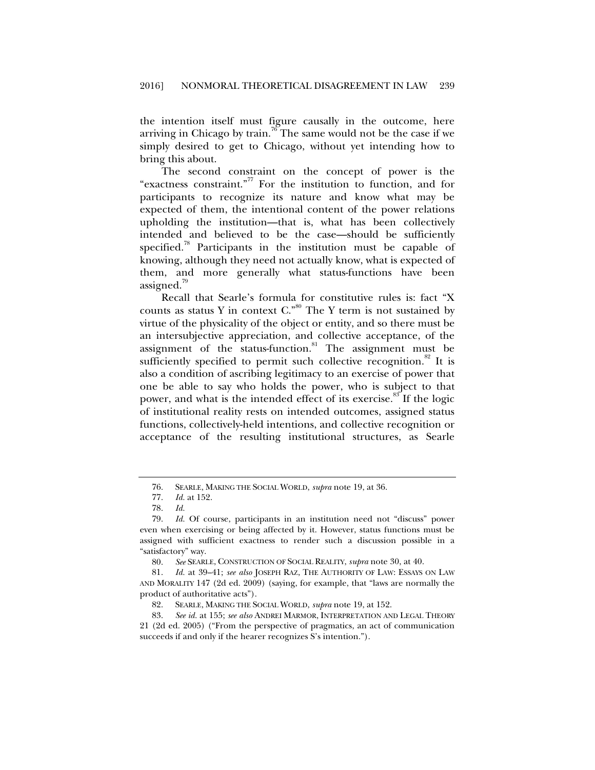the intention itself must figure causally in the outcome, here arriving in Chicago by train.<sup>76</sup> The same would not be the case if we simply desired to get to Chicago, without yet intending how to bring this about.

The second constraint on the concept of power is the "exactness constraint."77 For the institution to function, and for participants to recognize its nature and know what may be expected of them, the intentional content of the power relations upholding the institution—that is, what has been collectively intended and believed to be the case—should be sufficiently specified.<sup>78</sup> Participants in the institution must be capable of knowing, although they need not actually know, what is expected of them, and more generally what status-functions have been assigned.<sup>19</sup>

Recall that Searle's formula for constitutive rules is: fact "X counts as status Y in context  $C^{0.80}$ . The Y term is not sustained by virtue of the physicality of the object or entity, and so there must be an intersubjective appreciation, and collective acceptance, of the assignment of the status-function.<sup>81</sup> The assignment must be sufficiently specified to permit such collective recognition.<sup>82</sup> It is also a condition of ascribing legitimacy to an exercise of power that one be able to say who holds the power, who is subject to that power, and what is the intended effect of its exercise.<sup>83</sup> If the logic of institutional reality rests on intended outcomes, assigned status functions, collectively-held intentions, and collective recognition or acceptance of the resulting institutional structures, as Searle

 <sup>76.</sup> SEARLE, MAKING THE SOCIAL WORLD, *supra* note 19, at 36.

 <sup>77.</sup> *Id.* at 152.

 <sup>78.</sup> *Id.*

 <sup>79.</sup> *Id.* Of course, participants in an institution need not "discuss" power even when exercising or being affected by it. However, status functions must be assigned with sufficient exactness to render such a discussion possible in a "satisfactory" way.

 <sup>80.</sup> *See* SEARLE, CONSTRUCTION OF SOCIAL REALITY, *supra* note 30, at 40.

 <sup>81.</sup> *Id.* at 39–41; *see also* JOSEPH RAZ, THE AUTHORITY OF LAW: ESSAYS ON LAW AND MORALITY 147 (2d ed. 2009) (saying, for example, that "laws are normally the product of authoritative acts").

 <sup>82.</sup> SEARLE, MAKING THE SOCIAL WORLD, *supra* note 19, at 152.

 <sup>83.</sup> *See id.* at 155; *see also* ANDREI MARMOR, INTERPRETATION AND LEGAL THEORY 21 (2d ed. 2005) ("From the perspective of pragmatics, an act of communication succeeds if and only if the hearer recognizes S's intention.").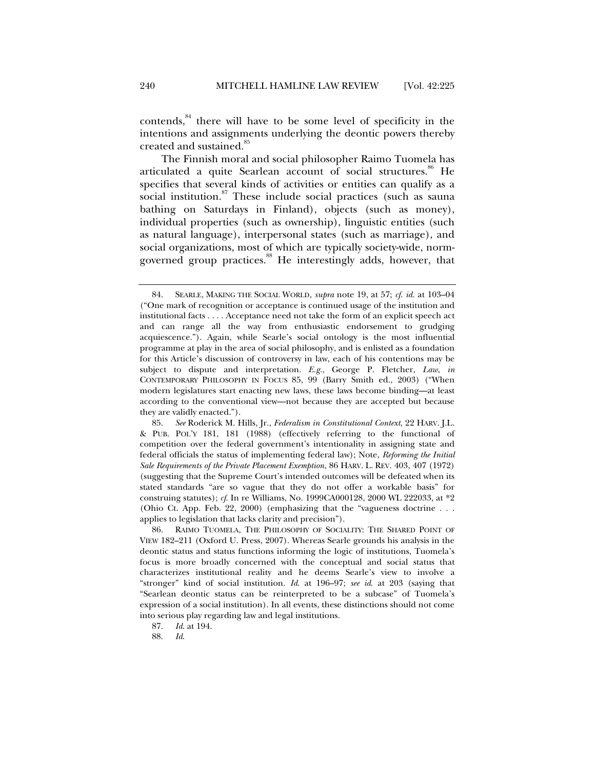contends, $84$ <sup>84</sup> there will have to be some level of specificity in the intentions and assignments underlying the deontic powers thereby created and sustained.<sup>85</sup>

The Finnish moral and social philosopher Raimo Tuomela has articulated a quite Searlean account of social structures.<sup>86</sup> He specifies that several kinds of activities or entities can qualify as a social institution.<sup>87</sup> These include social practices (such as sauna bathing on Saturdays in Finland), objects (such as money), individual properties (such as ownership), linguistic entities (such as natural language), interpersonal states (such as marriage), and social organizations, most of which are typically society-wide, normgoverned group practices.<sup>88</sup> He interestingly adds, however, that

 <sup>84.</sup> SEARLE, MAKING THE SOCIAL WORLD, *supra* note 19, at 57; *cf*. *id.* at 103–04 ("One mark of recognition or acceptance is continued usage of the institution and institutional facts . . . . Acceptance need not take the form of an explicit speech act and can range all the way from enthusiastic endorsement to grudging acquiescence."). Again, while Searle's social ontology is the most influential programme at play in the area of social philosophy, and is enlisted as a foundation for this Article's discussion of controversy in law, each of his contentions may be subject to dispute and interpretation. *E.g.*, George P. Fletcher, *Law*, *in* CONTEMPORARY PHILOSOPHY IN FOCUS 85, 99 (Barry Smith ed., 2003) ("When modern legislatures start enacting new laws, these laws become binding—at least according to the conventional view—not because they are accepted but because they are validly enacted.").

 <sup>85.</sup> *See* Roderick M. Hills, Jr., *Federalism in Constitutional Context*, 22 HARV. J.L. & PUB. POL'Y 181, 181 (1988) (effectively referring to the functional of competition over the federal government's intentionality in assigning state and federal officials the status of implementing federal law); Note, *Reforming the Initial Sale Requirements of the Private Placement Exemption*, 86 HARV. L. REV. 403, 407 (1972) (suggesting that the Supreme Court's intended outcomes will be defeated when its stated standards "are so vague that they do not offer a workable basis" for construing statutes); *cf*. In re Williams, No. 1999CA000128, 2000 WL 222033, at \*2 (Ohio Ct. App. Feb. 22, 2000) (emphasizing that the "vagueness doctrine . . . applies to legislation that lacks clarity and precision").

 <sup>86.</sup> RAIMO TUOMELA, THE PHILOSOPHY OF SOCIALITY: THE SHARED POINT OF VIEW 182–211 (Oxford U. Press, 2007). Whereas Searle grounds his analysis in the deontic status and status functions informing the logic of institutions, Tuomela's focus is more broadly concerned with the conceptual and social status that characterizes institutional reality and he deems Searle's view to involve a "stronger" kind of social institution. *Id*. at 196–97; *see id*. at 203 (saying that "Searlean deontic status can be reinterpreted to be a subcase" of Tuomela's expression of a social institution). In all events, these distinctions should not come into serious play regarding law and legal institutions.

 <sup>87.</sup> *Id*. at 194.

 <sup>88.</sup> *Id*.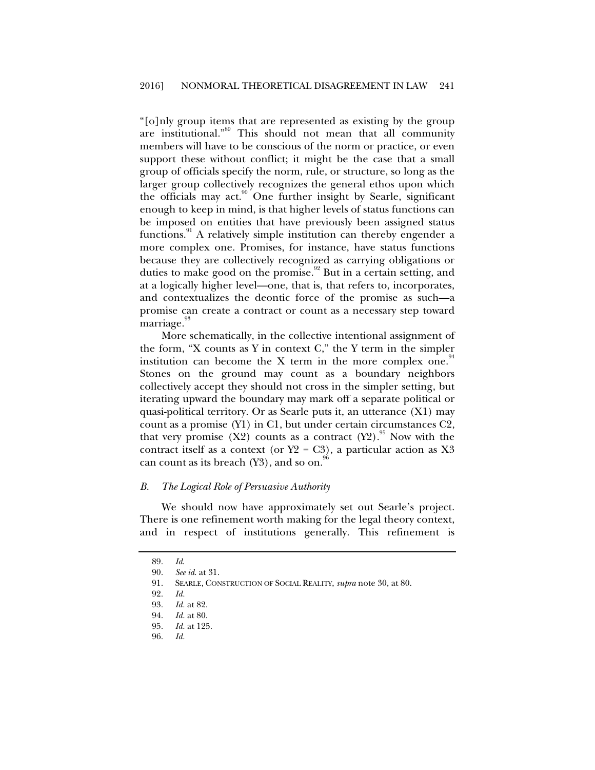"[o]nly group items that are represented as existing by the group are institutional."<sup>89</sup> This should not mean that all community members will have to be conscious of the norm or practice, or even support these without conflict; it might be the case that a small group of officials specify the norm, rule, or structure, so long as the larger group collectively recognizes the general ethos upon which the officials may act.<sup>90</sup> One further insight by Searle, significant enough to keep in mind, is that higher levels of status functions can be imposed on entities that have previously been assigned status functions.<sup>91</sup> A relatively simple institution can thereby engender a more complex one. Promises, for instance, have status functions because they are collectively recognized as carrying obligations or duties to make good on the promise.<sup>92</sup> But in a certain setting, and at a logically higher level—one, that is, that refers to, incorporates, and contextualizes the deontic force of the promise as such—a promise can create a contract or count as a necessary step toward marriage.<sup>93</sup>

More schematically, in the collective intentional assignment of the form, "X counts as Y in context  $C$ ," the Y term in the simpler institution can become the X term in the more complex one.<sup> $94$ </sup> Stones on the ground may count as a boundary neighbors collectively accept they should not cross in the simpler setting, but iterating upward the boundary may mark off a separate political or quasi-political territory. Or as Searle puts it, an utterance (X1) may count as a promise (Y1) in C1, but under certain circumstances C2, that very promise  $(X2)$  counts as a contract  $(Y2)$ .<sup>95</sup> Now with the contract itself as a context (or  $Y2 = C3$ ), a particular action as X3 can count as its breach  $(Y3)$ , and so on.<sup>86</sup>

#### *B. The Logical Role of Persuasive Authority*

We should now have approximately set out Searle's project. There is one refinement worth making for the legal theory context, and in respect of institutions generally. This refinement is

 <sup>89.</sup> *Id*.

 <sup>90.</sup> *See id*. at 31.

 <sup>91.</sup> SEARLE, CONSTRUCTION OF SOCIAL REALITY, *supra* note 30, at 80.

 <sup>92.</sup> *Id.*

 <sup>93.</sup> *Id.* at 82.

 <sup>94.</sup> *Id.* at 80.

*Id.* at 125.

 <sup>96.</sup> *Id.*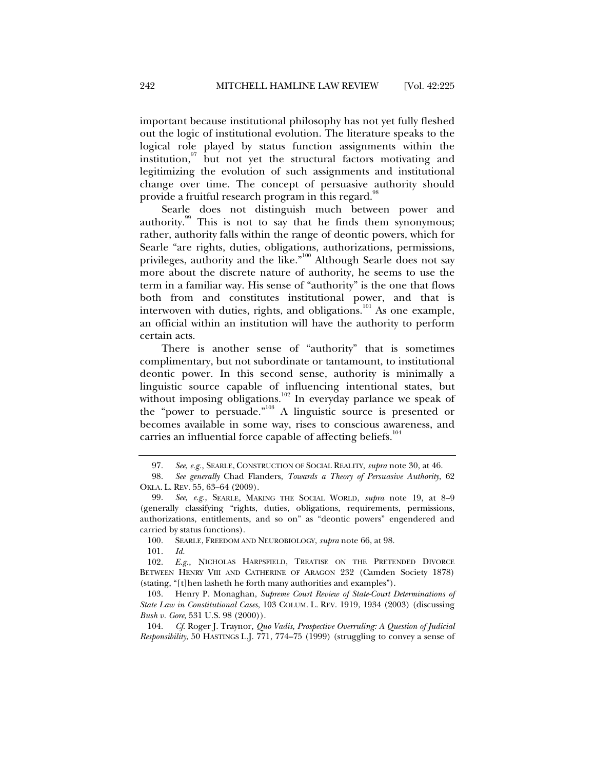important because institutional philosophy has not yet fully fleshed out the logic of institutional evolution. The literature speaks to the logical role played by status function assignments within the institution, $97 \text{ but not yet the structural factors motivating and}$ legitimizing the evolution of such assignments and institutional change over time. The concept of persuasive authority should provide a fruitful research program in this regard.<sup>98</sup>

Searle does not distinguish much between power and authority.<sup>99</sup> This is not to say that he finds them synonymous; rather, authority falls within the range of deontic powers, which for Searle "are rights, duties, obligations, authorizations, permissions, privileges, authority and the like."<sup>100</sup> Although Searle does not say more about the discrete nature of authority, he seems to use the term in a familiar way. His sense of "authority" is the one that flows both from and constitutes institutional power, and that is interwoven with duties, rights, and obligations.<sup>101</sup> As one example, an official within an institution will have the authority to perform certain acts.

There is another sense of "authority" that is sometimes complimentary, but not subordinate or tantamount, to institutional deontic power. In this second sense, authority is minimally a linguistic source capable of influencing intentional states, but without imposing obligations.<sup>102</sup> In everyday parlance we speak of the "power to persuade."103 A linguistic source is presented or becomes available in some way, rises to conscious awareness, and carries an influential force capable of affecting beliefs. $104$ 

 <sup>97.</sup> *See, e.g.*, SEARLE, CONSTRUCTION OF SOCIAL REALITY, *supra* note 30, at 46.

 <sup>98.</sup> *See generally* Chad Flanders, *Towards a Theory of Persuasive Authority*, 62 OKLA. L. REV. 55, 63–64 (2009).

 <sup>99.</sup> *See, e.g.*, SEARLE, MAKING THE SOCIAL WORLD, *supra* note 19, at 8–9 (generally classifying "rights, duties, obligations, requirements, permissions, authorizations, entitlements, and so on" as "deontic powers" engendered and carried by status functions).

 <sup>100.</sup> SEARLE, FREEDOM AND NEUROBIOLOGY, *supra* note 66, at 98.

 <sup>101.</sup> *Id.* 

 <sup>102.</sup> *E.g.*, NICHOLAS HARPSFIELD, TREATISE ON THE PRETENDED DIVORCE BETWEEN HENRY VIII AND CATHERINE OF ARAGON 232 (Camden Society 1878) (stating, "[t]hen lasheth he forth many authorities and examples").

 <sup>103.</sup> Henry P. Monaghan, *Supreme Court Review of State-Court Determinations of State Law in Constitutional Cases*, 103 COLUM. L. REV. 1919, 1934 (2003) (discussing *Bush v. Gore*, 531 U.S. 98 (2000)).

 <sup>104.</sup> *Cf*. Roger J. Traynor*, Quo Vadis, Prospective Overruling: A Question of Judicial Responsibility*, 50 HASTINGS L.J. 771, 774–75 (1999) (struggling to convey a sense of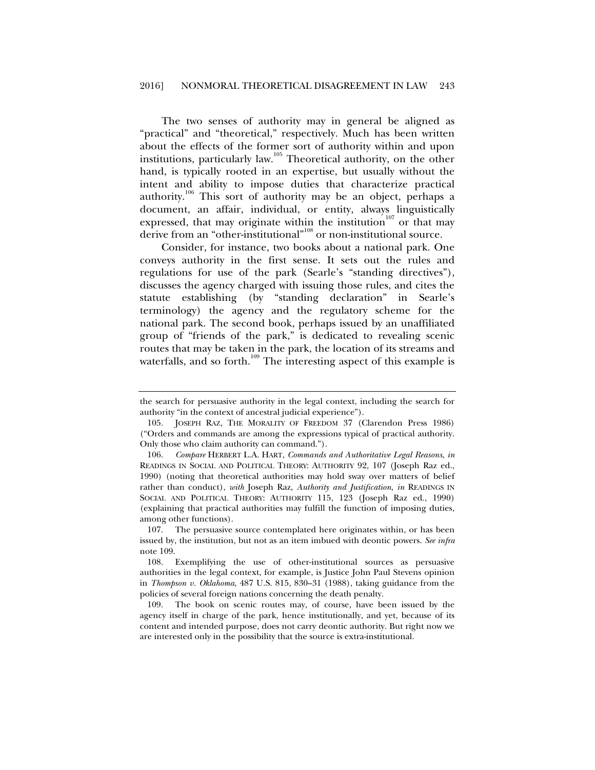The two senses of authority may in general be aligned as "practical" and "theoretical," respectively. Much has been written about the effects of the former sort of authority within and upon institutions, particularly law.<sup>105</sup> Theoretical authority, on the other hand, is typically rooted in an expertise, but usually without the intent and ability to impose duties that characterize practical authority.106 This sort of authority may be an object, perhaps a document, an affair, individual, or entity, always linguistically expressed, that may originate within the institution<sup>107</sup> or that may derive from an "other-institutional"<sup>108</sup> or non-institutional source.

Consider, for instance, two books about a national park. One conveys authority in the first sense. It sets out the rules and regulations for use of the park (Searle's "standing directives"), discusses the agency charged with issuing those rules, and cites the statute establishing (by "standing declaration" in Searle's terminology) the agency and the regulatory scheme for the national park. The second book, perhaps issued by an unaffiliated group of "friends of the park," is dedicated to revealing scenic routes that may be taken in the park, the location of its streams and waterfalls, and so forth.<sup>109</sup> The interesting aspect of this example is

the search for persuasive authority in the legal context, including the search for authority "in the context of ancestral judicial experience").

 <sup>105.</sup> JOSEPH RAZ, THE MORALITY OF FREEDOM 37 (Clarendon Press 1986) ("Orders and commands are among the expressions typical of practical authority. Only those who claim authority can command.").

 <sup>106.</sup> *Compare* HERBERT L.A. HART, *Commands and Authoritative Legal Reasons*, *in* READINGS IN SOCIAL AND POLITICAL THEORY: AUTHORITY 92, 107 (Joseph Raz ed., 1990) (noting that theoretical authorities may hold sway over matters of belief rather than conduct), *with* Joseph Raz, *Authority and Justification*, *in* READINGS IN SOCIAL AND POLITICAL THEORY: AUTHORITY 115, 123 (Joseph Raz ed., 1990) (explaining that practical authorities may fulfill the function of imposing duties, among other functions).

 <sup>107.</sup> The persuasive source contemplated here originates within, or has been issued by, the institution, but not as an item imbued with deontic powers. *See infra* note 109.

 <sup>108.</sup> Exemplifying the use of other-institutional sources as persuasive authorities in the legal context, for example, is Justice John Paul Stevens opinion in *Thompson v. Oklahoma*, 487 U.S. 815, 830–31 (1988), taking guidance from the policies of several foreign nations concerning the death penalty.

 <sup>109.</sup> The book on scenic routes may, of course, have been issued by the agency itself in charge of the park, hence institutionally, and yet, because of its content and intended purpose, does not carry deontic authority. But right now we are interested only in the possibility that the source is extra-institutional.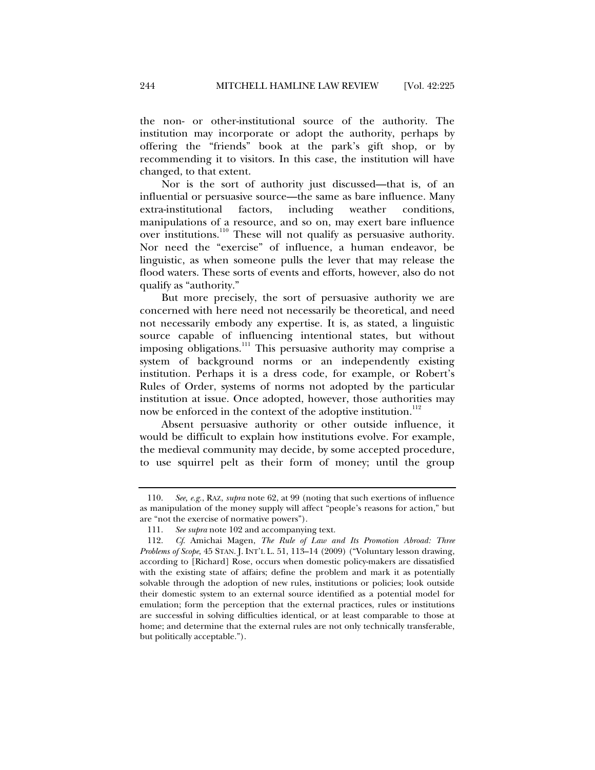the non- or other-institutional source of the authority. The institution may incorporate or adopt the authority, perhaps by offering the "friends" book at the park's gift shop, or by recommending it to visitors. In this case, the institution will have changed, to that extent.

Nor is the sort of authority just discussed—that is, of an influential or persuasive source—the same as bare influence. Many extra-institutional factors, including weather conditions, manipulations of a resource, and so on, may exert bare influence over institutions.<sup>110</sup> These will not qualify as persuasive authority. Nor need the "exercise" of influence, a human endeavor, be linguistic, as when someone pulls the lever that may release the flood waters. These sorts of events and efforts, however, also do not qualify as "authority."

But more precisely, the sort of persuasive authority we are concerned with here need not necessarily be theoretical, and need not necessarily embody any expertise. It is, as stated, a linguistic source capable of influencing intentional states, but without imposing obligations.<sup>111</sup> This persuasive authority may comprise a system of background norms or an independently existing institution. Perhaps it is a dress code, for example, or Robert's Rules of Order, systems of norms not adopted by the particular institution at issue. Once adopted, however, those authorities may now be enforced in the context of the adoptive institution.<sup>112</sup>

Absent persuasive authority or other outside influence, it would be difficult to explain how institutions evolve. For example, the medieval community may decide, by some accepted procedure, to use squirrel pelt as their form of money; until the group

 <sup>110.</sup> *See, e.g.*, RAZ, *supra* note 62, at 99 (noting that such exertions of influence as manipulation of the money supply will affect "people's reasons for action," but are "not the exercise of normative powers").

 <sup>111.</sup> *See supra* note 102 and accompanying text.

 <sup>112.</sup> *Cf*. Amichai Magen, *The Rule of Law and Its Promotion Abroad: Three Problems of Scope*, 45 STAN. J. INT'L L. 51, 113–14 (2009) ("Voluntary lesson drawing, according to [Richard] Rose, occurs when domestic policy-makers are dissatisfied with the existing state of affairs; define the problem and mark it as potentially solvable through the adoption of new rules, institutions or policies; look outside their domestic system to an external source identified as a potential model for emulation; form the perception that the external practices, rules or institutions are successful in solving difficulties identical, or at least comparable to those at home; and determine that the external rules are not only technically transferable, but politically acceptable.").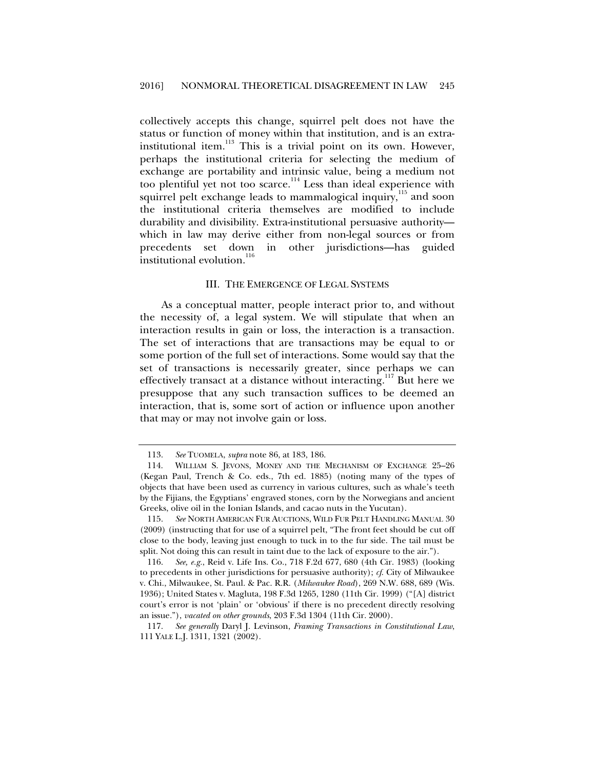collectively accepts this change, squirrel pelt does not have the status or function of money within that institution, and is an extrainstitutional item. $113$  This is a trivial point on its own. However, perhaps the institutional criteria for selecting the medium of exchange are portability and intrinsic value, being a medium not too plentiful yet not too scarce.<sup>114</sup> Less than ideal experience with squirrel pelt exchange leads to mammalogical inquiry,<sup>115</sup> and soon the institutional criteria themselves are modified to include durability and divisibility. Extra-institutional persuasive authority which in law may derive either from non-legal sources or from precedents set down in other jurisdictions—has guided institutional evolution.<sup>116</sup>

#### III. THE EMERGENCE OF LEGAL SYSTEMS

As a conceptual matter, people interact prior to, and without the necessity of, a legal system. We will stipulate that when an interaction results in gain or loss, the interaction is a transaction. The set of interactions that are transactions may be equal to or some portion of the full set of interactions. Some would say that the set of transactions is necessarily greater, since perhaps we can effectively transact at a distance without interacting.<sup>117</sup> But here we presuppose that any such transaction suffices to be deemed an interaction, that is, some sort of action or influence upon another that may or may not involve gain or loss.

 <sup>113.</sup> *See* TUOMELA, *supra* note 86, at 183, 186.

 <sup>114.</sup> WILLIAM S. JEVONS, MONEY AND THE MECHANISM OF EXCHANGE 25–26 (Kegan Paul, Trench & Co. eds., 7th ed. 1885) (noting many of the types of objects that have been used as currency in various cultures, such as whale's teeth by the Fijians, the Egyptians' engraved stones, corn by the Norwegians and ancient Greeks, olive oil in the Ionian Islands, and cacao nuts in the Yucutan).

 <sup>115.</sup> *See* NORTH AMERICAN FUR AUCTIONS, WILD FUR PELT HANDLING MANUAL 30 (2009) (instructing that for use of a squirrel pelt, "The front feet should be cut off close to the body, leaving just enough to tuck in to the fur side. The tail must be split. Not doing this can result in taint due to the lack of exposure to the air.").

 <sup>116.</sup> *See, e.g.*, Reid v. Life Ins. Co., 718 F.2d 677, 680 (4th Cir. 1983) (looking to precedents in other jurisdictions for persuasive authority); *cf*. City of Milwaukee v. Chi., Milwaukee, St. Paul. & Pac. R.R. (*Milwaukee Road*), 269 N.W. 688, 689 (Wis. 1936); United States v. Magluta, 198 F.3d 1265, 1280 (11th Cir. 1999) ("[A] district court's error is not 'plain' or 'obvious' if there is no precedent directly resolving an issue."), *vacated on other grounds*, 203 F.3d 1304 (11th Cir. 2000).

 <sup>117.</sup> *See generally* Daryl J. Levinson, *Framing Transactions in Constitutional Law*, 111 YALE L.J. 1311, 1321 (2002).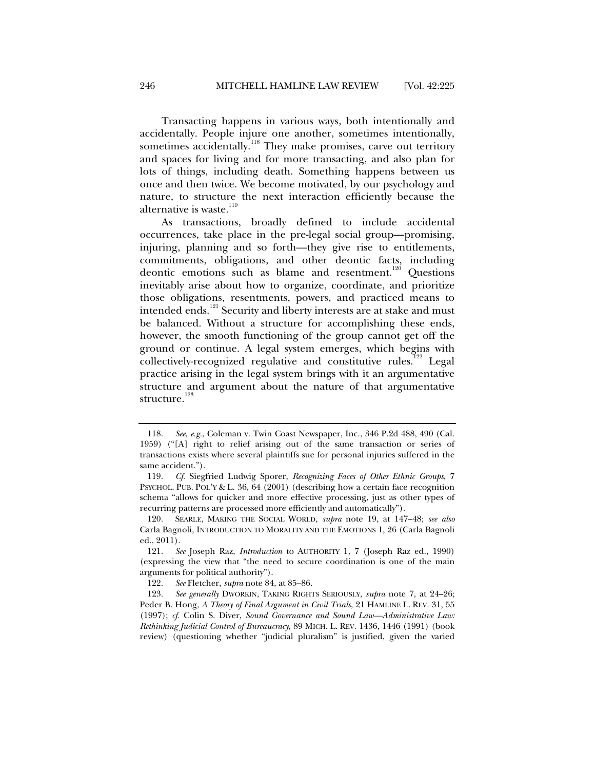Transacting happens in various ways, both intentionally and accidentally. People injure one another, sometimes intentionally, sometimes accidentally.<sup>118</sup> They make promises, carve out territory and spaces for living and for more transacting, and also plan for lots of things, including death. Something happens between us once and then twice. We become motivated, by our psychology and nature, to structure the next interaction efficiently because the alternative is waste.<sup>119</sup>

As transactions, broadly defined to include accidental occurrences, take place in the pre-legal social group—promising, injuring, planning and so forth—they give rise to entitlements, commitments, obligations, and other deontic facts, including deontic emotions such as blame and resentment.<sup>120</sup> Questions inevitably arise about how to organize, coordinate, and prioritize those obligations, resentments, powers, and practiced means to intended ends.<sup>121</sup> Security and liberty interests are at stake and must be balanced. Without a structure for accomplishing these ends, however, the smooth functioning of the group cannot get off the ground or continue. A legal system emerges, which begins with collectively-recognized regulative and constitutive rules.<sup>122</sup> Legal practice arising in the legal system brings with it an argumentative structure and argument about the nature of that argumentative structure.<sup>123</sup>

 <sup>118.</sup> *See, e.g.*, Coleman v. Twin Coast Newspaper, Inc., 346 P.2d 488, 490 (Cal. 1959) ("[A] right to relief arising out of the same transaction or series of transactions exists where several plaintiffs sue for personal injuries suffered in the same accident.").

 <sup>119.</sup> *Cf*. Siegfried Ludwig Sporer, *Recognizing Faces of Other Ethnic Groups*, 7 PSYCHOL. PUB. POL'Y & L. 36, 64 (2001) (describing how a certain face recognition schema "allows for quicker and more effective processing, just as other types of recurring patterns are processed more efficiently and automatically").

 <sup>120.</sup> SEARLE, MAKING THE SOCIAL WORLD, *supra* note 19, at 147–48; *see also* Carla Bagnoli, INTRODUCTION TO MORALITY AND THE EMOTIONS 1, 26 (Carla Bagnoli ed., 2011).

 <sup>121.</sup> *See* Joseph Raz, *Introduction* to AUTHORITY 1, 7 (Joseph Raz ed., 1990) (expressing the view that "the need to secure coordination is one of the main arguments for political authority").

 <sup>122.</sup> *See* Fletcher, *supra* note 84, at 85–86.

 <sup>123.</sup> *See generally* DWORKIN, TAKING RIGHTS SERIOUSLY, *supra* note 7, at 24–26; Peder B. Hong, *A Theory of Final Argument in Civil Trials*, 21 HAMLINE L. REV. 31, 55 (1997); *cf.* Colin S. Diver, *Sound Governance and Sound Law—Administrative Law: Rethinking Judicial Control of Bureaucracy*, 89 MICH. L. REV. 1436, 1446 (1991) (book review) (questioning whether "judicial pluralism" is justified, given the varied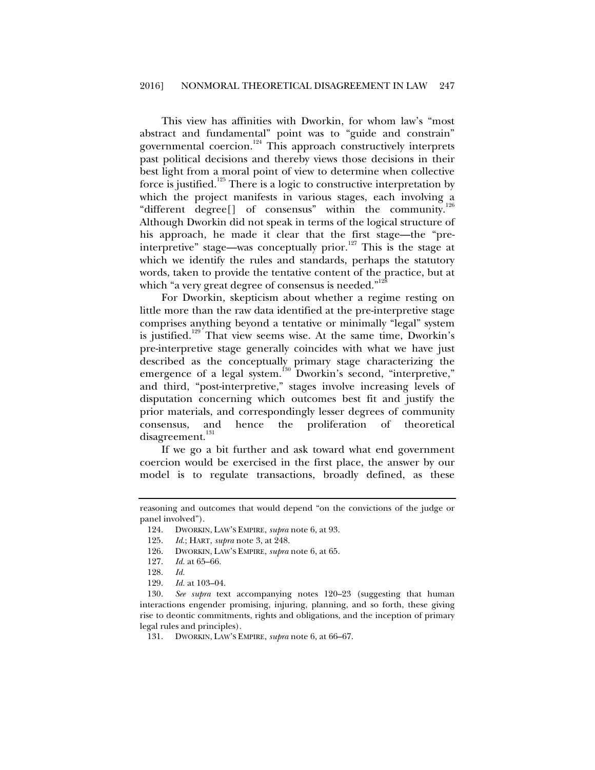This view has affinities with Dworkin, for whom law's "most abstract and fundamental" point was to "guide and constrain" governmental coercion.<sup>124</sup> This approach constructively interprets past political decisions and thereby views those decisions in their best light from a moral point of view to determine when collective force is justified.<sup>125</sup> There is a logic to constructive interpretation by which the project manifests in various stages, each involving a "different degree[] of consensus" within the community.<sup>1</sup> Although Dworkin did not speak in terms of the logical structure of his approach, he made it clear that the first stage—the "preinterpretive" stage—was conceptually prior.<sup>127</sup> This is the stage at which we identify the rules and standards, perhaps the statutory words, taken to provide the tentative content of the practice, but at which "a very great degree of consensus is needed."<sup>12</sup>

For Dworkin, skepticism about whether a regime resting on little more than the raw data identified at the pre-interpretive stage comprises anything beyond a tentative or minimally "legal" system is justified.<sup>129</sup> That view seems wise. At the same time, Dworkin's pre-interpretive stage generally coincides with what we have just described as the conceptually primary stage characterizing the emergence of a legal system.<sup>130</sup> Dworkin's second, "interpretive," and third, "post-interpretive," stages involve increasing levels of disputation concerning which outcomes best fit and justify the prior materials, and correspondingly lesser degrees of community consensus, and hence the proliferation of theoretical disagreement.<sup>131</sup>

If we go a bit further and ask toward what end government coercion would be exercised in the first place, the answer by our model is to regulate transactions, broadly defined, as these

reasoning and outcomes that would depend "on the convictions of the judge or panel involved").

 <sup>124.</sup> DWORKIN, LAW'S EMPIRE, *supra* note 6, at 93.

 <sup>125.</sup> *Id*.; HART, *supra* note 3, at 248.

 <sup>126.</sup> DWORKIN, LAW'S EMPIRE, *supra* note 6, at 65.

 <sup>127.</sup> *Id.* at 65–66.

 <sup>128.</sup> *Id.* 

 <sup>129.</sup> *Id.* at 103–04.

 <sup>130.</sup> *See supra* text accompanying notes 120–23 (suggesting that human interactions engender promising, injuring, planning, and so forth, these giving rise to deontic commitments, rights and obligations, and the inception of primary legal rules and principles).

 <sup>131.</sup> DWORKIN, LAW'S EMPIRE, *supra* note 6, at 66–67.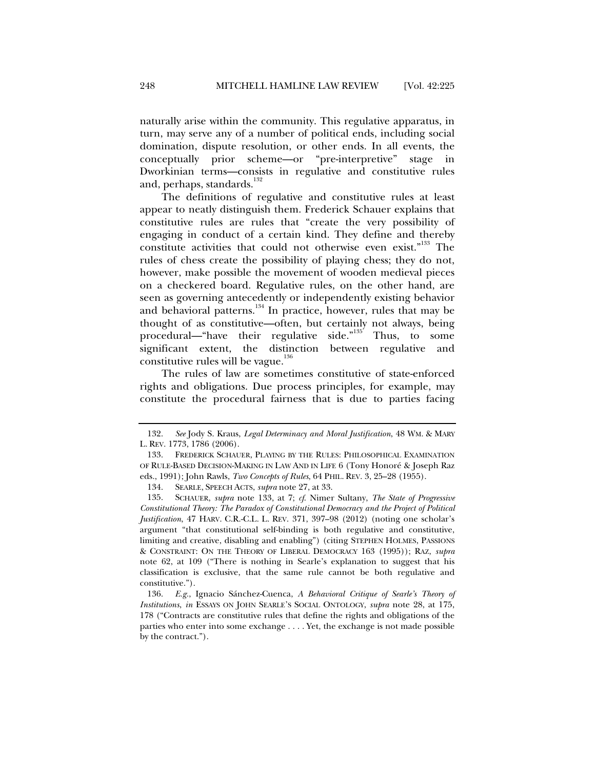naturally arise within the community. This regulative apparatus, in turn, may serve any of a number of political ends, including social domination, dispute resolution, or other ends. In all events, the conceptually prior scheme—or "pre-interpretive" stage in Dworkinian terms—consists in regulative and constitutive rules and, perhaps, standards.<sup>132</sup>

The definitions of regulative and constitutive rules at least appear to neatly distinguish them. Frederick Schauer explains that constitutive rules are rules that "create the very possibility of engaging in conduct of a certain kind. They define and thereby constitute activities that could not otherwise even exist."<sup>133</sup> The rules of chess create the possibility of playing chess; they do not, however, make possible the movement of wooden medieval pieces on a checkered board. Regulative rules, on the other hand, are seen as governing antecedently or independently existing behavior and behavioral patterns.<sup>134</sup> In practice, however, rules that may be thought of as constitutive—often, but certainly not always, being procedural—"have their regulative side." $135'$  Thus, to some significant extent, the distinction between regulative and constitutive rules will be vague. $136$ 

The rules of law are sometimes constitutive of state-enforced rights and obligations. Due process principles, for example, may constitute the procedural fairness that is due to parties facing

 <sup>132.</sup> *See* Jody S. Kraus, *Legal Determinacy and Moral Justification*, 48 WM. & MARY L. REV. 1773, 1786 (2006).

 <sup>133.</sup> FREDERICK SCHAUER, PLAYING BY THE RULES: PHILOSOPHICAL EXAMINATION OF RULE-BASED DECISION-MAKING IN LAW AND IN LIFE 6 (Tony Honoré & Joseph Raz eds., 1991); John Rawls, *Two Concepts of Rules*, 64 PHIL. REV. 3, 25–28 (1955).

 <sup>134.</sup> SEARLE, SPEECH ACTS, *supra* note 27, at 33.

 <sup>135.</sup> SCHAUER, *supra* note 133, at 7; *cf*. Nimer Sultany, *The State of Progressive Constitutional Theory: The Paradox of Constitutional Democracy and the Project of Political Justification*, 47 HARV. C.R.-C.L. L. REV. 371, 397–98 (2012) (noting one scholar's argument "that constitutional self-binding is both regulative and constitutive, limiting and creative, disabling and enabling") (citing STEPHEN HOLMES, PASSIONS & CONSTRAINT: ON THE THEORY OF LIBERAL DEMOCRACY 163 (1995)); RAZ, *supra* note 62, at 109 ("There is nothing in Searle's explanation to suggest that his classification is exclusive, that the same rule cannot be both regulative and constitutive.").

 <sup>136.</sup> *E.g.*, Ignacio Sánchez-Cuenca, *A Behavioral Critique of Searle's Theory of Institutions*, *in* ESSAYS ON JOHN SEARLE'S SOCIAL ONTOLOGY, *supra* note 28, at 175, 178 ("Contracts are constitutive rules that define the rights and obligations of the parties who enter into some exchange . . . . Yet, the exchange is not made possible by the contract.").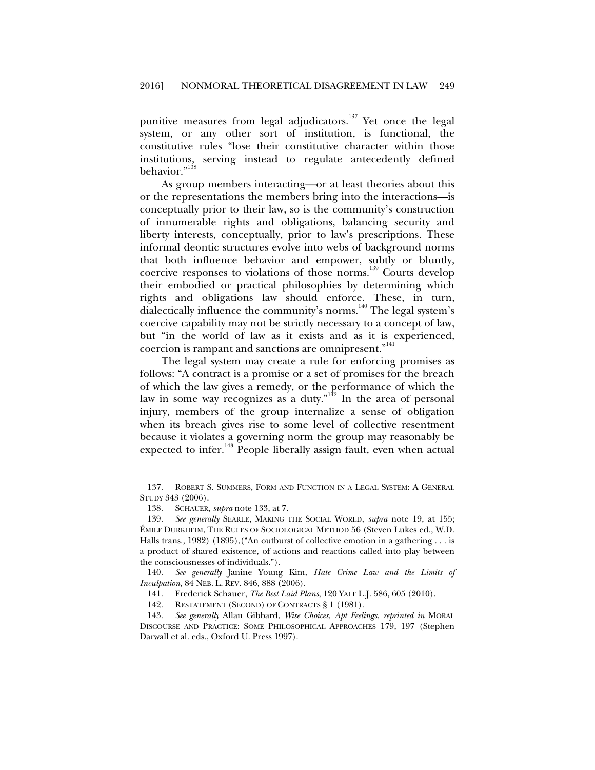punitive measures from legal adjudicators.<sup>137</sup> Yet once the legal system, or any other sort of institution, is functional, the constitutive rules "lose their constitutive character within those institutions, serving instead to regulate antecedently defined behavior."<sup>138</sup>

As group members interacting—or at least theories about this or the representations the members bring into the interactions—is conceptually prior to their law, so is the community's construction of innumerable rights and obligations, balancing security and liberty interests, conceptually, prior to law's prescriptions. These informal deontic structures evolve into webs of background norms that both influence behavior and empower, subtly or bluntly, coercive responses to violations of those norms.<sup>139</sup> Courts develop their embodied or practical philosophies by determining which rights and obligations law should enforce. These, in turn, dialectically influence the community's norms.<sup>140</sup> The legal system's coercive capability may not be strictly necessary to a concept of law, but "in the world of law as it exists and as it is experienced, coercion is rampant and sanctions are omnipresent."<sup>141</sup>

The legal system may create a rule for enforcing promises as follows: "A contract is a promise or a set of promises for the breach of which the law gives a remedy, or the performance of which the law in some way recognizes as a duty."<sup>142</sup> In the area of personal injury, members of the group internalize a sense of obligation when its breach gives rise to some level of collective resentment because it violates a governing norm the group may reasonably be expected to infer.<sup>143</sup> People liberally assign fault, even when actual

 140. *See generally* Janine Young Kim, *Hate Crime Law and the Limits of Inculpation*, 84 NEB. L. REV. 846, 888 (2006).

141. Frederick Schauer, *The Best Laid Plans*, 120 YALE L.J. 586, 605 (2010).

142. RESTATEMENT (SECOND) OF CONTRACTS § 1 (1981).

 143. *See generally* Allan Gibbard, *Wise Choices, Apt Feelings*, *reprinted in* MORAL DISCOURSE AND PRACTICE: SOME PHILOSOPHICAL APPROACHES 179, 197 (Stephen Darwall et al. eds., Oxford U. Press 1997).

 <sup>137.</sup> ROBERT S. SUMMERS, FORM AND FUNCTION IN A LEGAL SYSTEM: A GENERAL STUDY 343 (2006).

 <sup>138.</sup> SCHAUER, *supra* note 133, at 7.

 <sup>139.</sup> *See generally* SEARLE, MAKING THE SOCIAL WORLD, *supra* note 19, at 155; ÉMILE DURKHEIM, THE RULES OF SOCIOLOGICAL METHOD 56 (Steven Lukes ed., W.D. Halls trans., 1982) (1895), ("An outburst of collective emotion in a gathering . . . is a product of shared existence, of actions and reactions called into play between the consciousnesses of individuals.").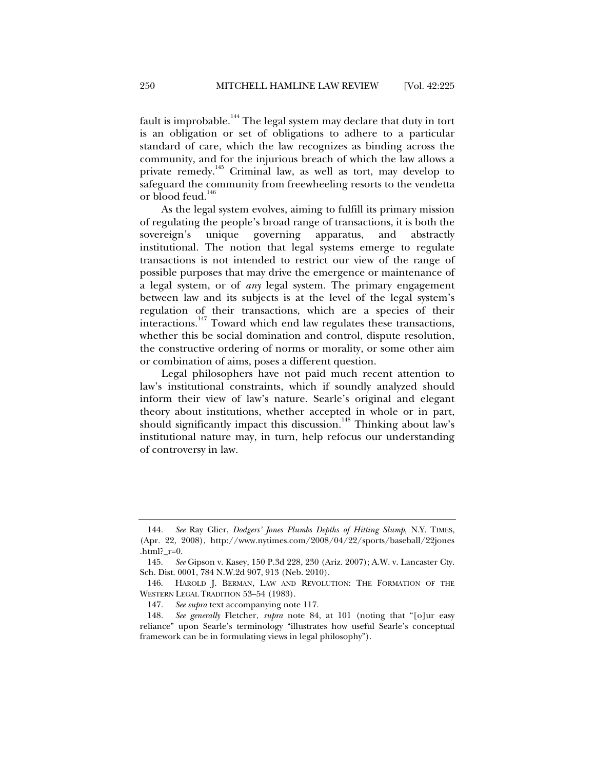fault is improbable.<sup>144</sup> The legal system may declare that duty in tort is an obligation or set of obligations to adhere to a particular standard of care, which the law recognizes as binding across the community, and for the injurious breach of which the law allows a private remedy.145 Criminal law, as well as tort, may develop to safeguard the community from freewheeling resorts to the vendetta or blood feud.<sup>146</sup>

As the legal system evolves, aiming to fulfill its primary mission of regulating the people's broad range of transactions, it is both the sovereign's unique governing apparatus, and abstractly institutional. The notion that legal systems emerge to regulate transactions is not intended to restrict our view of the range of possible purposes that may drive the emergence or maintenance of a legal system, or of *any* legal system. The primary engagement between law and its subjects is at the level of the legal system's regulation of their transactions, which are a species of their interactions.147 Toward which end law regulates these transactions, whether this be social domination and control, dispute resolution, the constructive ordering of norms or morality, or some other aim or combination of aims, poses a different question.

Legal philosophers have not paid much recent attention to law's institutional constraints, which if soundly analyzed should inform their view of law's nature. Searle's original and elegant theory about institutions, whether accepted in whole or in part, should significantly impact this discussion.<sup>148</sup> Thinking about law's institutional nature may, in turn, help refocus our understanding of controversy in law.

 <sup>144.</sup> *See* Ray Glier, *Dodgers' Jones Plumbs Depths of Hitting Slump*, N.Y. TIMES, (Apr. 22, 2008), http://www.nytimes.com/2008/04/22/sports/baseball/22jones .html?\_r=0.

 <sup>145.</sup> *See* Gipson v. Kasey, 150 P.3d 228, 230 (Ariz. 2007); A.W. v. Lancaster Cty. Sch. Dist. 0001, 784 N.W.2d 907, 913 (Neb. 2010).

 <sup>146.</sup> HAROLD J. BERMAN, LAW AND REVOLUTION: THE FORMATION OF THE WESTERN LEGAL TRADITION 53–54 (1983).

 <sup>147.</sup> *See supra* text accompanying note 117.

 <sup>148.</sup> *See generally* Fletcher, *supra* note 84, at 101 (noting that "[o]ur easy reliance" upon Searle's terminology "illustrates how useful Searle's conceptual framework can be in formulating views in legal philosophy").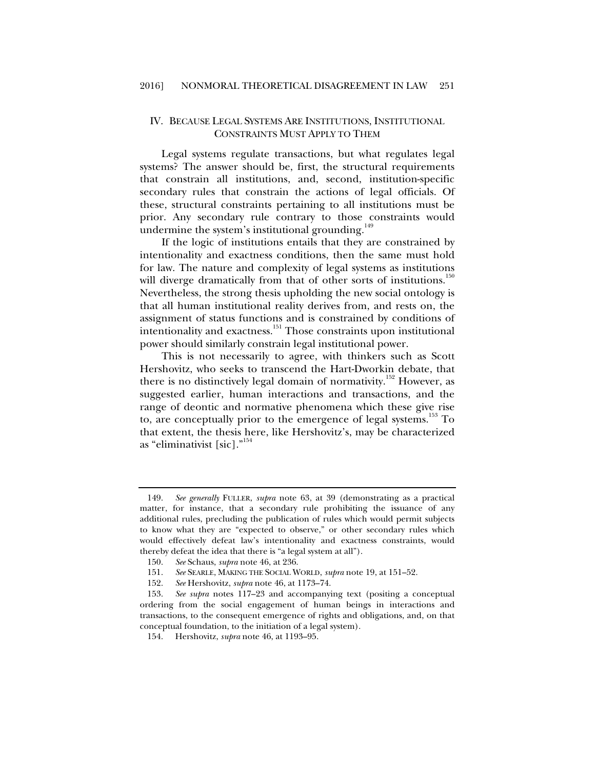#### IV. BECAUSE LEGAL SYSTEMS ARE INSTITUTIONS, INSTITUTIONAL CONSTRAINTS MUST APPLY TO THEM

Legal systems regulate transactions, but what regulates legal systems? The answer should be, first, the structural requirements that constrain all institutions, and, second, institution-specific secondary rules that constrain the actions of legal officials. Of these, structural constraints pertaining to all institutions must be prior. Any secondary rule contrary to those constraints would undermine the system's institutional grounding. $149$ 

If the logic of institutions entails that they are constrained by intentionality and exactness conditions, then the same must hold for law. The nature and complexity of legal systems as institutions will diverge dramatically from that of other sorts of institutions.<sup>150</sup> Nevertheless, the strong thesis upholding the new social ontology is that all human institutional reality derives from, and rests on, the assignment of status functions and is constrained by conditions of intentionality and exactness.<sup>151</sup> Those constraints upon institutional power should similarly constrain legal institutional power.

This is not necessarily to agree, with thinkers such as Scott Hershovitz, who seeks to transcend the Hart-Dworkin debate, that there is no distinctively legal domain of normativity.<sup>152</sup> However, as suggested earlier, human interactions and transactions, and the range of deontic and normative phenomena which these give rise to, are conceptually prior to the emergence of legal systems.<sup>153</sup> To that extent, the thesis here, like Hershovitz's, may be characterized as "eliminativist [sic]."154

 <sup>149.</sup> *See generally* FULLER, *supra* note 63, at 39 (demonstrating as a practical matter, for instance, that a secondary rule prohibiting the issuance of any additional rules, precluding the publication of rules which would permit subjects to know what they are "expected to observe," or other secondary rules which would effectively defeat law's intentionality and exactness constraints, would thereby defeat the idea that there is "a legal system at all").

 <sup>150.</sup> *See* Schaus, *supra* note 46, at 236.

 <sup>151.</sup> *See* SEARLE, MAKING THE SOCIAL WORLD, *supra* note 19, at 151–52.

 <sup>152.</sup> *See* Hershovitz, *supra* note 46, at 1173–74.

 <sup>153.</sup> *See supra* notes 117–23 and accompanying text (positing a conceptual ordering from the social engagement of human beings in interactions and transactions, to the consequent emergence of rights and obligations, and, on that conceptual foundation, to the initiation of a legal system).

 <sup>154.</sup> Hershovitz, *supra* note 46, at 1193–95.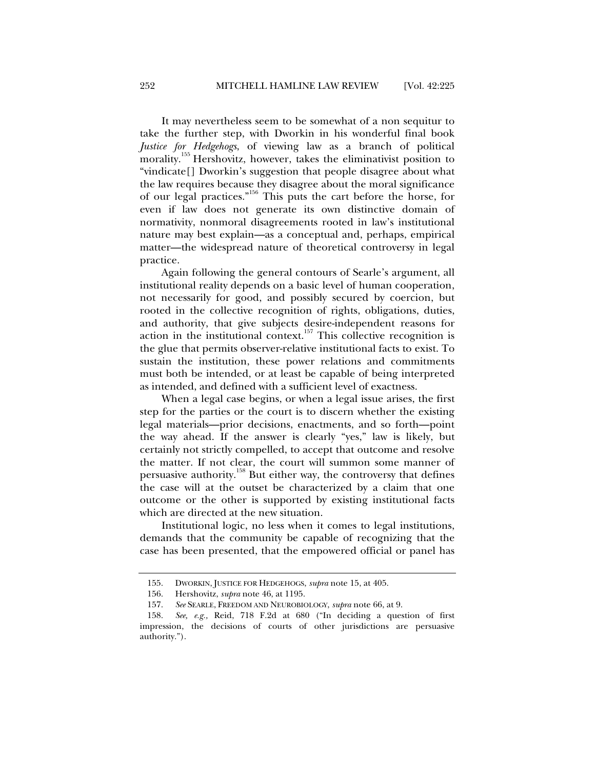It may nevertheless seem to be somewhat of a non sequitur to take the further step, with Dworkin in his wonderful final book *Justice for Hedgehogs*, of viewing law as a branch of political morality.<sup>155</sup> Hershovitz, however, takes the eliminativist position to "vindicate[] Dworkin's suggestion that people disagree about what the law requires because they disagree about the moral significance of our legal practices."<sup>156</sup> This puts the cart before the horse, for even if law does not generate its own distinctive domain of normativity, nonmoral disagreements rooted in law's institutional nature may best explain—as a conceptual and, perhaps, empirical matter—the widespread nature of theoretical controversy in legal practice.

Again following the general contours of Searle's argument, all institutional reality depends on a basic level of human cooperation, not necessarily for good, and possibly secured by coercion, but rooted in the collective recognition of rights, obligations, duties, and authority, that give subjects desire-independent reasons for action in the institutional context.<sup>157</sup> This collective recognition is the glue that permits observer-relative institutional facts to exist. To sustain the institution, these power relations and commitments must both be intended, or at least be capable of being interpreted as intended, and defined with a sufficient level of exactness.

When a legal case begins, or when a legal issue arises, the first step for the parties or the court is to discern whether the existing legal materials—prior decisions, enactments, and so forth—point the way ahead. If the answer is clearly "yes," law is likely, but certainly not strictly compelled, to accept that outcome and resolve the matter. If not clear, the court will summon some manner of persuasive authority.<sup>158</sup> But either way, the controversy that defines the case will at the outset be characterized by a claim that one outcome or the other is supported by existing institutional facts which are directed at the new situation.

Institutional logic, no less when it comes to legal institutions, demands that the community be capable of recognizing that the case has been presented, that the empowered official or panel has

 <sup>155.</sup> DWORKIN, JUSTICE FOR HEDGEHOGS, *supra* note 15, at 405.

 <sup>156.</sup> Hershovitz, *supra* note 46, at 1195.

 <sup>157.</sup> *See* SEARLE, FREEDOM AND NEUROBIOLOGY, *supra* note 66, at 9.

 <sup>158.</sup> *See, e.g.,* Reid, 718 F.2d at 680 ("In deciding a question of first impression, the decisions of courts of other jurisdictions are persuasive authority.").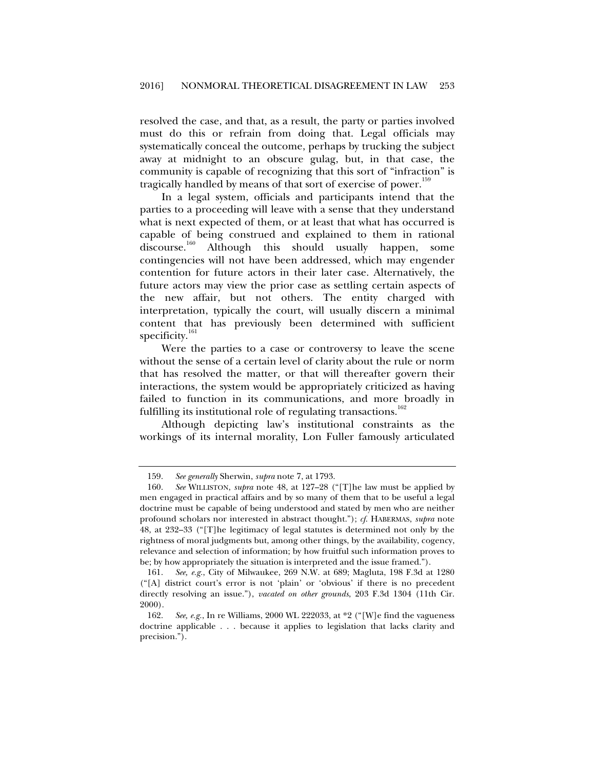resolved the case, and that, as a result, the party or parties involved must do this or refrain from doing that. Legal officials may systematically conceal the outcome, perhaps by trucking the subject away at midnight to an obscure gulag, but, in that case, the community is capable of recognizing that this sort of "infraction" is tragically handled by means of that sort of exercise of power.<sup>15</sup>

In a legal system, officials and participants intend that the parties to a proceeding will leave with a sense that they understand what is next expected of them, or at least that what has occurred is capable of being construed and explained to them in rational discourse.<sup>160</sup> Although this should usually happen, some contingencies will not have been addressed, which may engender contention for future actors in their later case. Alternatively, the future actors may view the prior case as settling certain aspects of the new affair, but not others. The entity charged with interpretation, typically the court, will usually discern a minimal content that has previously been determined with sufficient specificity.<sup>161</sup>

Were the parties to a case or controversy to leave the scene without the sense of a certain level of clarity about the rule or norm that has resolved the matter, or that will thereafter govern their interactions, the system would be appropriately criticized as having failed to function in its communications, and more broadly in fulfilling its institutional role of regulating transactions.<sup>162</sup>

Although depicting law's institutional constraints as the workings of its internal morality, Lon Fuller famously articulated

 <sup>159.</sup> *See generally* Sherwin, *supra* note 7, at 1793.

 <sup>160.</sup> *See* WILLISTON, *supra* note 48, at 127–28 ("[T]he law must be applied by men engaged in practical affairs and by so many of them that to be useful a legal doctrine must be capable of being understood and stated by men who are neither profound scholars nor interested in abstract thought."); *cf*. HABERMAS, *supra* note 48, at 232–33 ("[T]he legitimacy of legal statutes is determined not only by the rightness of moral judgments but, among other things, by the availability, cogency, relevance and selection of information; by how fruitful such information proves to be; by how appropriately the situation is interpreted and the issue framed.").

 <sup>161.</sup> *See, e.g.*, City of Milwaukee, 269 N.W. at 689; Magluta, 198 F.3d at 1280 ("[A] district court's error is not 'plain' or 'obvious' if there is no precedent directly resolving an issue."), *vacated on other grounds*, 203 F.3d 1304 (11th Cir. 2000).

 <sup>162.</sup> *See, e.g.*, In re Williams, 2000 WL 222033, at \*2 ("[W]e find the vagueness doctrine applicable . . . because it applies to legislation that lacks clarity and precision.").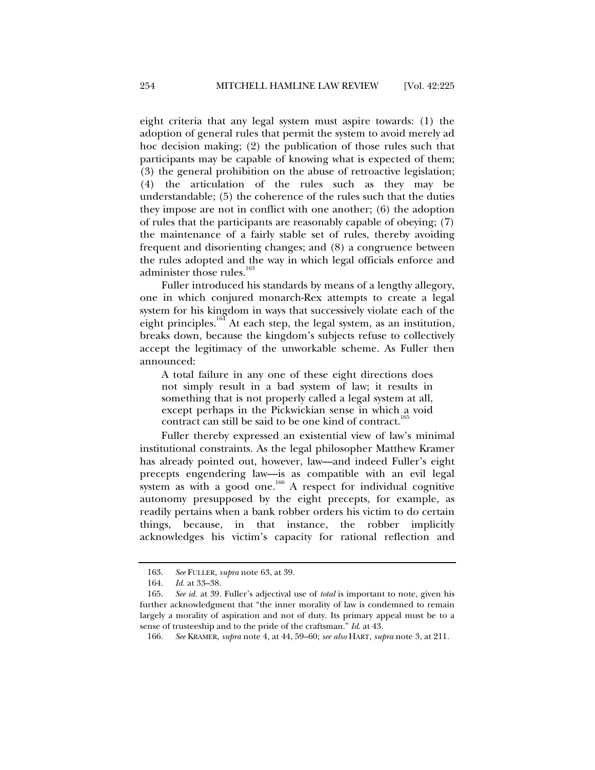eight criteria that any legal system must aspire towards: (1) the adoption of general rules that permit the system to avoid merely ad hoc decision making; (2) the publication of those rules such that participants may be capable of knowing what is expected of them; (3) the general prohibition on the abuse of retroactive legislation; (4) the articulation of the rules such as they may be understandable; (5) the coherence of the rules such that the duties they impose are not in conflict with one another; (6) the adoption of rules that the participants are reasonably capable of obeying; (7) the maintenance of a fairly stable set of rules, thereby avoiding frequent and disorienting changes; and (8) a congruence between the rules adopted and the way in which legal officials enforce and administer those rules.<sup>163</sup>

Fuller introduced his standards by means of a lengthy allegory, one in which conjured monarch-Rex attempts to create a legal system for his kingdom in ways that successively violate each of the eight principles.<sup>164</sup> At each step, the legal system, as an institution, breaks down, because the kingdom's subjects refuse to collectively accept the legitimacy of the unworkable scheme. As Fuller then announced:

A total failure in any one of these eight directions does not simply result in a bad system of law; it results in something that is not properly called a legal system at all, except perhaps in the Pickwickian sense in which a void contract can still be said to be one kind of contract.<sup>1</sup>

Fuller thereby expressed an existential view of law's minimal institutional constraints. As the legal philosopher Matthew Kramer has already pointed out, however, law—and indeed Fuller's eight precepts engendering law—is as compatible with an evil legal system as with a good one.<sup>166</sup> A respect for individual cognitive autonomy presupposed by the eight precepts, for example, as readily pertains when a bank robber orders his victim to do certain things, because, in that instance, the robber implicitly acknowledges his victim's capacity for rational reflection and

 <sup>163.</sup> *See* FULLER, *supra* note 63, at 39.

 <sup>164.</sup> *Id.* at 33–38.

 <sup>165.</sup> *See id.* at 39. Fuller's adjectival use of *total* is important to note, given his further acknowledgment that "the inner morality of law is condemned to remain largely a morality of aspiration and not of duty. Its primary appeal must be to a sense of trusteeship and to the pride of the craftsman." *Id*. at 43.

 <sup>166.</sup> *See* KRAMER, *supra* note 4, at 44, 59–60; *see also* HART, *supra* note 3, at 211.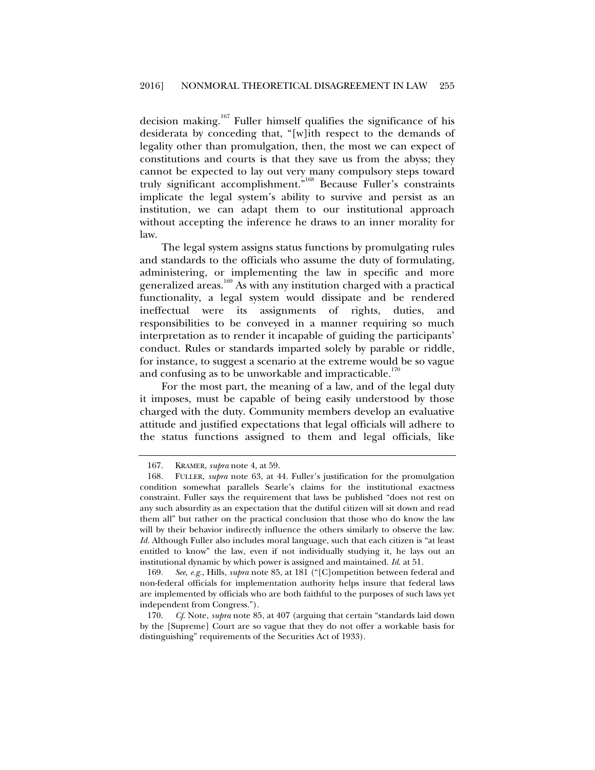decision making.<sup>167</sup> Fuller himself qualifies the significance of his desiderata by conceding that, "[w]ith respect to the demands of legality other than promulgation, then, the most we can expect of constitutions and courts is that they save us from the abyss; they cannot be expected to lay out very many compulsory steps toward truly significant accomplishment."168 Because Fuller's constraints implicate the legal system's ability to survive and persist as an institution, we can adapt them to our institutional approach without accepting the inference he draws to an inner morality for law.

The legal system assigns status functions by promulgating rules and standards to the officials who assume the duty of formulating, administering, or implementing the law in specific and more generalized areas.<sup>169</sup> As with any institution charged with a practical functionality, a legal system would dissipate and be rendered ineffectual were its assignments of rights, duties, and responsibilities to be conveyed in a manner requiring so much interpretation as to render it incapable of guiding the participants' conduct. Rules or standards imparted solely by parable or riddle, for instance, to suggest a scenario at the extreme would be so vague and confusing as to be unworkable and impracticable.<sup>170</sup>

For the most part, the meaning of a law, and of the legal duty it imposes, must be capable of being easily understood by those charged with the duty. Community members develop an evaluative attitude and justified expectations that legal officials will adhere to the status functions assigned to them and legal officials, like

 169. *See, e.g.*, Hills, *supra* note 85, at 181 ("[C]ompetition between federal and non-federal officials for implementation authority helps insure that federal laws are implemented by officials who are both faithful to the purposes of such laws yet independent from Congress.").

 170. *Cf*. Note, *supra* note 85, at 407 (arguing that certain "standards laid down by the [Supreme] Court are so vague that they do not offer a workable basis for distinguishing" requirements of the Securities Act of 1933).

 <sup>167.</sup> KRAMER, *supra* note 4, at 59.

 <sup>168.</sup> FULLER, *supra* note 63, at 44. Fuller's justification for the promulgation condition somewhat parallels Searle's claims for the institutional exactness constraint. Fuller says the requirement that laws be published "does not rest on any such absurdity as an expectation that the dutiful citizen will sit down and read them all" but rather on the practical conclusion that those who do know the law will by their behavior indirectly influence the others similarly to observe the law. *Id.* Although Fuller also includes moral language, such that each citizen is "at least entitled to know" the law, even if not individually studying it, he lays out an institutional dynamic by which power is assigned and maintained. *Id*. at 51.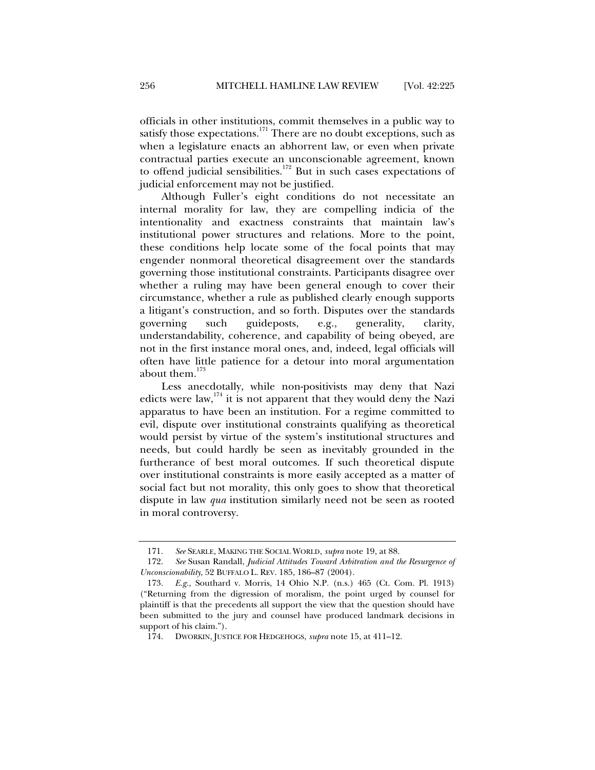officials in other institutions, commit themselves in a public way to satisfy those expectations.<sup>171</sup> There are no doubt exceptions, such as when a legislature enacts an abhorrent law, or even when private contractual parties execute an unconscionable agreement, known to offend judicial sensibilities.<sup>172</sup> But in such cases expectations of judicial enforcement may not be justified.

Although Fuller's eight conditions do not necessitate an internal morality for law, they are compelling indicia of the intentionality and exactness constraints that maintain law's institutional power structures and relations. More to the point, these conditions help locate some of the focal points that may engender nonmoral theoretical disagreement over the standards governing those institutional constraints. Participants disagree over whether a ruling may have been general enough to cover their circumstance, whether a rule as published clearly enough supports a litigant's construction, and so forth. Disputes over the standards governing such guideposts, e.g., generality, clarity, understandability, coherence, and capability of being obeyed, are not in the first instance moral ones, and, indeed, legal officials will often have little patience for a detour into moral argumentation about them.<sup>173</sup>

Less anecdotally, while non-positivists may deny that Nazi edicts were law,  $174$  it is not apparent that they would deny the Nazi apparatus to have been an institution. For a regime committed to evil, dispute over institutional constraints qualifying as theoretical would persist by virtue of the system's institutional structures and needs, but could hardly be seen as inevitably grounded in the furtherance of best moral outcomes. If such theoretical dispute over institutional constraints is more easily accepted as a matter of social fact but not morality, this only goes to show that theoretical dispute in law *qua* institution similarly need not be seen as rooted in moral controversy.

 <sup>171.</sup> *See* SEARLE, MAKING THE SOCIAL WORLD, *supra* note 19, at 88.

 <sup>172.</sup> *See* Susan Randall, *Judicial Attitudes Toward Arbitration and the Resurgence of Unconscionability*, 52 BUFFALO L. REV. 185, 186–87 (2004).

 <sup>173.</sup> *E.g.,* Southard v. Morris, 14 Ohio N.P. (n.s.) 465 (Ct. Com. Pl. 1913) ("Returning from the digression of moralism, the point urged by counsel for plaintiff is that the precedents all support the view that the question should have been submitted to the jury and counsel have produced landmark decisions in support of his claim.").

 <sup>174.</sup> DWORKIN, JUSTICE FOR HEDGEHOGS, *supra* note 15, at 411–12.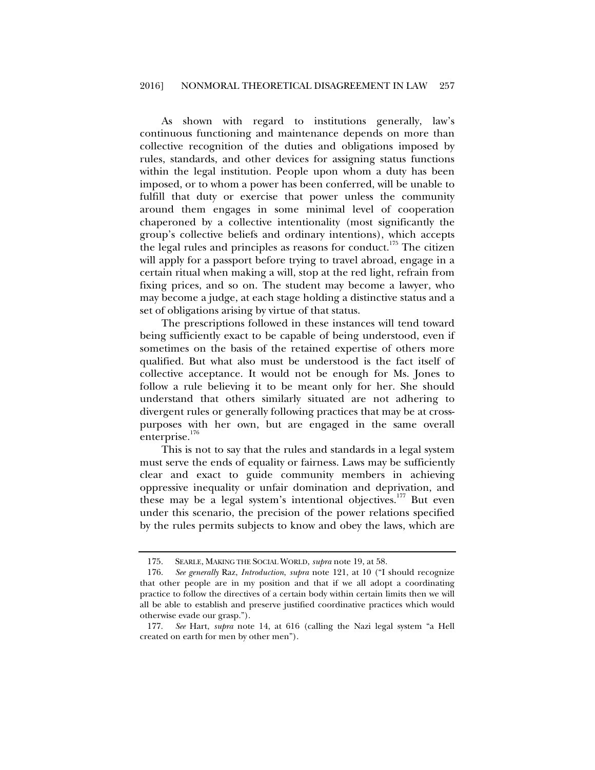As shown with regard to institutions generally, law's continuous functioning and maintenance depends on more than collective recognition of the duties and obligations imposed by rules, standards, and other devices for assigning status functions within the legal institution. People upon whom a duty has been imposed, or to whom a power has been conferred, will be unable to fulfill that duty or exercise that power unless the community around them engages in some minimal level of cooperation chaperoned by a collective intentionality (most significantly the group's collective beliefs and ordinary intentions), which accepts the legal rules and principles as reasons for conduct.<sup>175</sup> The citizen will apply for a passport before trying to travel abroad, engage in a certain ritual when making a will, stop at the red light, refrain from fixing prices, and so on. The student may become a lawyer, who may become a judge, at each stage holding a distinctive status and a set of obligations arising by virtue of that status.

The prescriptions followed in these instances will tend toward being sufficiently exact to be capable of being understood, even if sometimes on the basis of the retained expertise of others more qualified. But what also must be understood is the fact itself of collective acceptance. It would not be enough for Ms. Jones to follow a rule believing it to be meant only for her. She should understand that others similarly situated are not adhering to divergent rules or generally following practices that may be at crosspurposes with her own, but are engaged in the same overall enterprise.<sup>176</sup>

This is not to say that the rules and standards in a legal system must serve the ends of equality or fairness. Laws may be sufficiently clear and exact to guide community members in achieving oppressive inequality or unfair domination and deprivation, and these may be a legal system's intentional objectives.<sup>177</sup> But even under this scenario, the precision of the power relations specified by the rules permits subjects to know and obey the laws, which are

 <sup>175.</sup> SEARLE, MAKING THE SOCIAL WORLD, *supra* note 19, at 58.

 <sup>176.</sup> *See generally* Raz, *Introduction*, *supra* note 121, at 10 ("I should recognize that other people are in my position and that if we all adopt a coordinating practice to follow the directives of a certain body within certain limits then we will all be able to establish and preserve justified coordinative practices which would otherwise evade our grasp.").

 <sup>177.</sup> *See* Hart, *supra* note 14, at 616 (calling the Nazi legal system "a Hell created on earth for men by other men").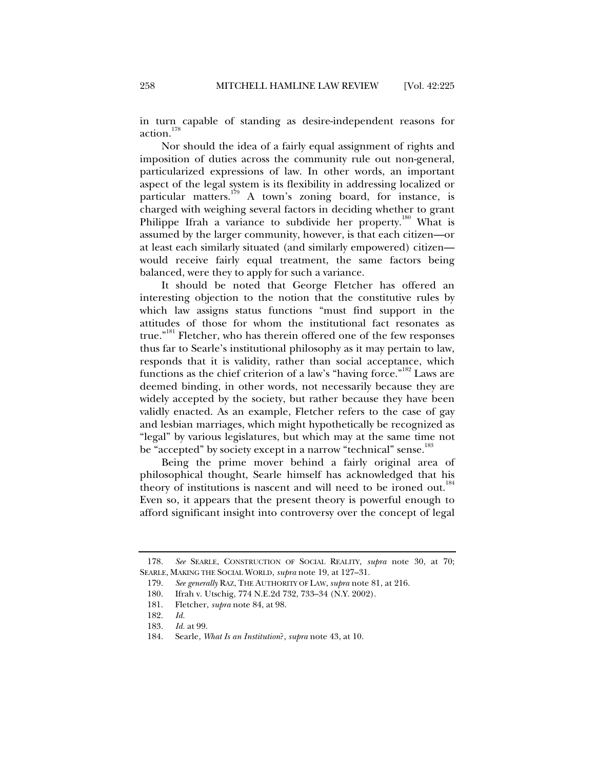in turn capable of standing as desire-independent reasons for action.<sup>178</sup>

Nor should the idea of a fairly equal assignment of rights and imposition of duties across the community rule out non-general, particularized expressions of law. In other words, an important aspect of the legal system is its flexibility in addressing localized or particular matters.<sup>179</sup> A town's zoning board, for instance, is charged with weighing several factors in deciding whether to grant Philippe Ifrah a variance to subdivide her property.<sup>180</sup> What is assumed by the larger community, however, is that each citizen—or at least each similarly situated (and similarly empowered) citizen would receive fairly equal treatment, the same factors being balanced, were they to apply for such a variance.

It should be noted that George Fletcher has offered an interesting objection to the notion that the constitutive rules by which law assigns status functions "must find support in the attitudes of those for whom the institutional fact resonates as true."<sup>181</sup> Fletcher, who has therein offered one of the few responses thus far to Searle's institutional philosophy as it may pertain to law, responds that it is validity, rather than social acceptance, which functions as the chief criterion of a law's "having force."<sup>182</sup> Laws are deemed binding, in other words, not necessarily because they are widely accepted by the society, but rather because they have been validly enacted. As an example, Fletcher refers to the case of gay and lesbian marriages, which might hypothetically be recognized as "legal" by various legislatures, but which may at the same time not be "accepted" by society except in a narrow "technical" sense.<sup>183</sup>

Being the prime mover behind a fairly original area of philosophical thought, Searle himself has acknowledged that his theory of institutions is nascent and will need to be ironed out.<sup>184</sup> Even so, it appears that the present theory is powerful enough to afford significant insight into controversy over the concept of legal

 <sup>178.</sup> *See* SEARLE, CONSTRUCTION OF SOCIAL REALITY, *supra* note 30, at 70; SEARLE, MAKING THE SOCIAL WORLD, *supra* note 19, at 127–31.

 <sup>179.</sup> *See generally* RAZ, THE AUTHORITY OF LAW, *supra* note 81, at 216.

 <sup>180.</sup> Ifrah v. Utschig, 774 N.E.2d 732, 733–34 (N.Y. 2002).

 <sup>181.</sup> Fletcher, *supra* note 84, at 98.

 <sup>182.</sup> *Id.* 

 <sup>183.</sup> *Id.* at 99.

 <sup>184.</sup> Searle, *What Is an Institution*?, *supra* note 43, at 10.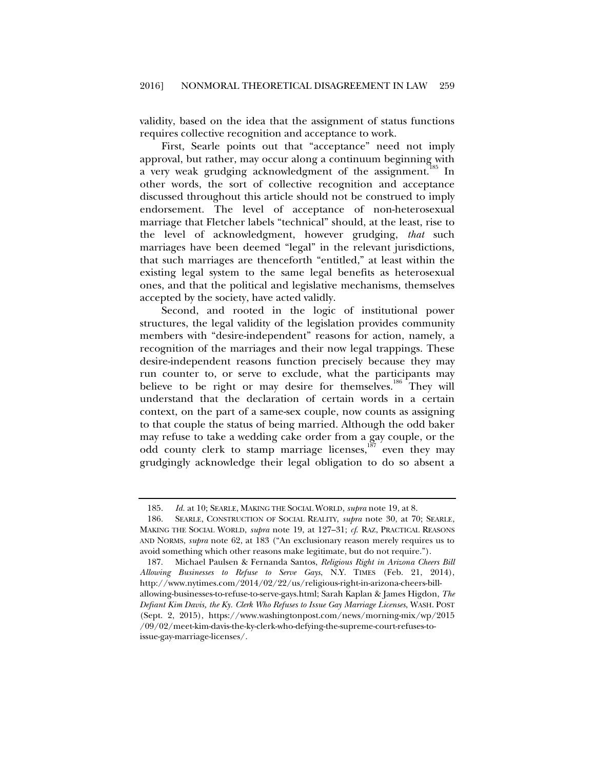validity, based on the idea that the assignment of status functions requires collective recognition and acceptance to work.

First, Searle points out that "acceptance" need not imply approval, but rather, may occur along a continuum beginning with a very weak grudging acknowledgment of the assignment.<sup>185</sup> In other words, the sort of collective recognition and acceptance discussed throughout this article should not be construed to imply endorsement. The level of acceptance of non-heterosexual marriage that Fletcher labels "technical" should, at the least, rise to the level of acknowledgment, however grudging, *that* such marriages have been deemed "legal" in the relevant jurisdictions, that such marriages are thenceforth "entitled," at least within the existing legal system to the same legal benefits as heterosexual ones, and that the political and legislative mechanisms, themselves accepted by the society, have acted validly.

Second, and rooted in the logic of institutional power structures, the legal validity of the legislation provides community members with "desire-independent" reasons for action, namely, a recognition of the marriages and their now legal trappings. These desire-independent reasons function precisely because they may run counter to, or serve to exclude, what the participants may believe to be right or may desire for themselves.<sup>186</sup> They will understand that the declaration of certain words in a certain context, on the part of a same-sex couple, now counts as assigning to that couple the status of being married. Although the odd baker may refuse to take a wedding cake order from a gay couple, or the odd county clerk to stamp marriage licenses,<sup>187</sup> even they may grudgingly acknowledge their legal obligation to do so absent a

 <sup>185.</sup> *Id.* at 10; SEARLE, MAKING THE SOCIAL WORLD, *supra* note 19, at 8.

 <sup>186.</sup> SEARLE, CONSTRUCTION OF SOCIAL REALITY, *supra* note 30, at 70; SEARLE, MAKING THE SOCIAL WORLD, *supra* note 19, at 127–31; *cf*. RAZ, PRACTICAL REASONS AND NORMS, *supra* note 62, at 183 ("An exclusionary reason merely requires us to avoid something which other reasons make legitimate, but do not require.").

 <sup>187.</sup> Michael Paulsen & Fernanda Santos, *Religious Right in Arizona Cheers Bill Allowing Businesses to Refuse to Serve Gays*, N.Y. TIMES (Feb. 21, 2014), http://www.nytimes.com/2014/02/22/us/religious-right-in-arizona-cheers-billallowing-businesses-to-refuse-to-serve-gays.html; Sarah Kaplan & James Higdon, *The Defiant Kim Davis, the Ky. Clerk Who Refuses to Issue Gay Marriage Licenses*, WASH. POST (Sept. 2, 2015), https://www.washingtonpost.com/news/morning-mix/wp/2015 /09/02/meet-kim-davis-the-ky-clerk-who-defying-the-supreme-court-refuses-toissue-gay-marriage-licenses/.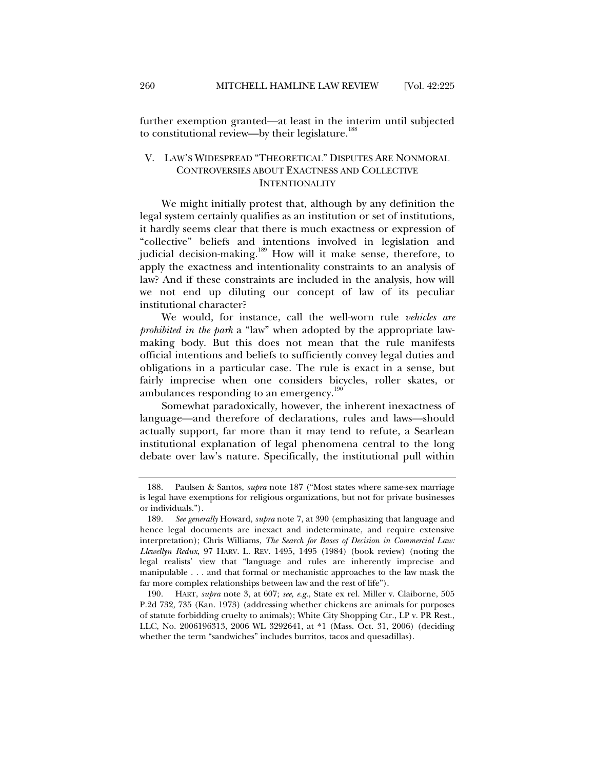further exemption granted—at least in the interim until subjected to constitutional review—by their legislature.<sup>188</sup>

## V. LAW'S WIDESPREAD "THEORETICAL" DISPUTES ARE NONMORAL CONTROVERSIES ABOUT EXACTNESS AND COLLECTIVE **INTENTIONALITY**

We might initially protest that, although by any definition the legal system certainly qualifies as an institution or set of institutions, it hardly seems clear that there is much exactness or expression of "collective" beliefs and intentions involved in legislation and judicial decision-making.<sup>189</sup> How will it make sense, therefore, to apply the exactness and intentionality constraints to an analysis of law? And if these constraints are included in the analysis, how will we not end up diluting our concept of law of its peculiar institutional character?

We would, for instance, call the well-worn rule *vehicles are prohibited in the park* a "law" when adopted by the appropriate lawmaking body. But this does not mean that the rule manifests official intentions and beliefs to sufficiently convey legal duties and obligations in a particular case. The rule is exact in a sense, but fairly imprecise when one considers bicycles, roller skates, or ambulances responding to an emergency.<sup>190</sup>

Somewhat paradoxically, however, the inherent inexactness of language—and therefore of declarations, rules and laws—should actually support, far more than it may tend to refute, a Searlean institutional explanation of legal phenomena central to the long debate over law's nature. Specifically, the institutional pull within

 <sup>188.</sup> Paulsen & Santos, *supra* note 187 ("Most states where same-sex marriage is legal have exemptions for religious organizations, but not for private businesses or individuals.").

 <sup>189.</sup> *See generally* Howard, *supra* note 7, at 390 (emphasizing that language and hence legal documents are inexact and indeterminate, and require extensive interpretation); Chris Williams, *The Search for Bases of Decision in Commercial Law: Llewellyn Redux*, 97 HARV. L. REV. 1495, 1495 (1984) (book review) (noting the legal realists' view that "language and rules are inherently imprecise and manipulable . . . and that formal or mechanistic approaches to the law mask the far more complex relationships between law and the rest of life").

 <sup>190.</sup> HART, *supra* note 3, at 607; *see, e.g.*, State ex rel. Miller v. Claiborne, 505 P.2d 732, 735 (Kan. 1973) (addressing whether chickens are animals for purposes of statute forbidding cruelty to animals); White City Shopping Ctr., LP v. PR Rest., LLC, No. 2006196313, 2006 WL 3292641, at \*1 (Mass. Oct. 31, 2006) (deciding whether the term "sandwiches" includes burritos, tacos and quesadillas).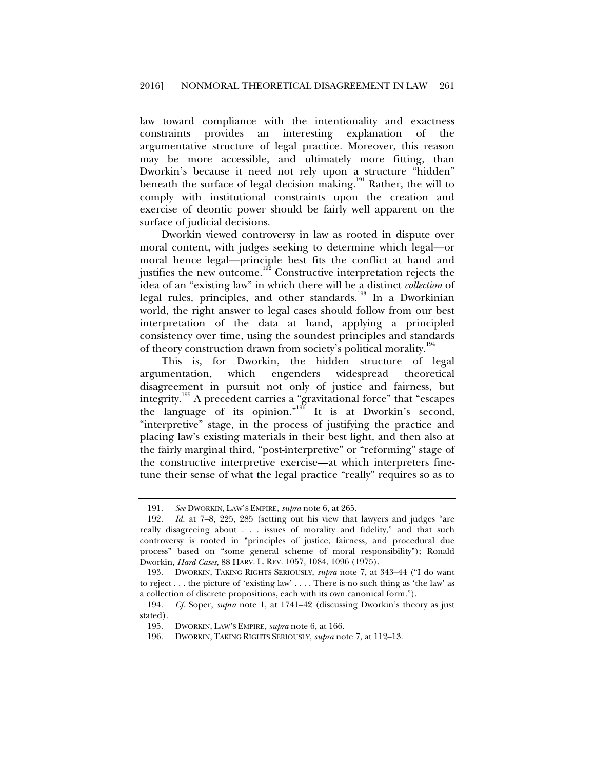law toward compliance with the intentionality and exactness constraints provides an interesting explanation of the argumentative structure of legal practice. Moreover, this reason may be more accessible, and ultimately more fitting, than Dworkin's because it need not rely upon a structure "hidden" beneath the surface of legal decision making.<sup>191</sup> Rather, the will to comply with institutional constraints upon the creation and exercise of deontic power should be fairly well apparent on the surface of judicial decisions.

Dworkin viewed controversy in law as rooted in dispute over moral content, with judges seeking to determine which legal—or moral hence legal—principle best fits the conflict at hand and justifies the new outcome.<sup>192</sup> Constructive interpretation rejects the idea of an "existing law" in which there will be a distinct *collection* of legal rules, principles, and other standards.<sup>193</sup> In a Dworkinian world, the right answer to legal cases should follow from our best interpretation of the data at hand, applying a principled consistency over time, using the soundest principles and standards of theory construction drawn from society's political morality.<sup>194</sup>

This is, for Dworkin, the hidden structure of legal argumentation, which engenders widespread theoretical disagreement in pursuit not only of justice and fairness, but integrity. $^{195}$  A precedent carries a "gravitational force" that "escapes the language of its opinion."<sup>196</sup> It is at Dworkin's second, "interpretive" stage, in the process of justifying the practice and placing law's existing materials in their best light, and then also at the fairly marginal third, "post-interpretive" or "reforming" stage of the constructive interpretive exercise—at which interpreters finetune their sense of what the legal practice "really" requires so as to

 <sup>191.</sup> *See* DWORKIN, LAW'S EMPIRE, *supra* note 6, at 265.

 <sup>192.</sup> *Id.* at 7–8, 225, 285 (setting out his view that lawyers and judges "are really disagreeing about . . . issues of morality and fidelity," and that such controversy is rooted in "principles of justice, fairness, and procedural due process" based on "some general scheme of moral responsibility"); Ronald Dworkin, *Hard Cases*, 88 HARV. L. REV. 1057, 1084, 1096 (1975).

 <sup>193.</sup> DWORKIN, TAKING RIGHTS SERIOUSLY, *supra* note 7, at 343–44 ("I do want to reject . . . the picture of 'existing law' . . . . There is no such thing as 'the law' as a collection of discrete propositions, each with its own canonical form.").

 <sup>194.</sup> *Cf*. Soper, *supra* note 1, at 1741–42 (discussing Dworkin's theory as just stated).

 <sup>195.</sup> DWORKIN, LAW'S EMPIRE, *supra* note 6, at 166.

 <sup>196.</sup> DWORKIN, TAKING RIGHTS SERIOUSLY, *supra* note 7, at 112–13.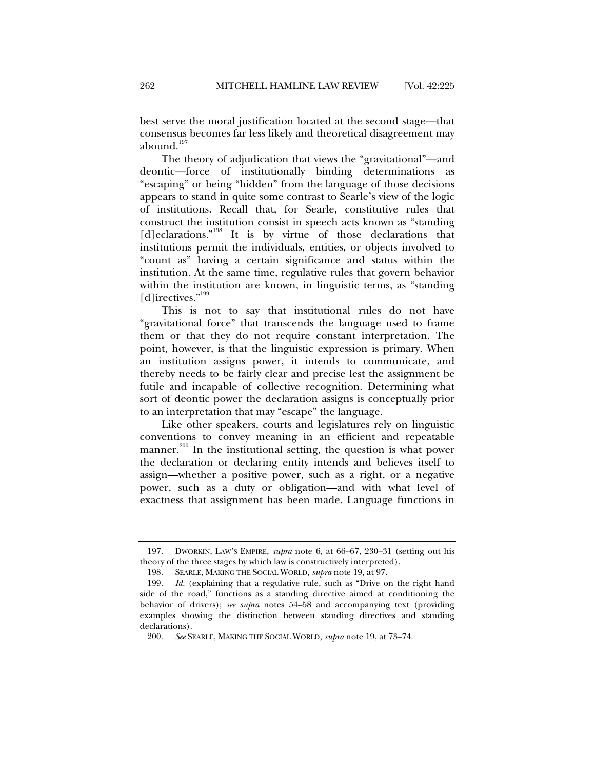best serve the moral justification located at the second stage—that consensus becomes far less likely and theoretical disagreement may abound. $197$ 

The theory of adjudication that views the "gravitational"—and deontic—force of institutionally binding determinations as "escaping" or being "hidden" from the language of those decisions appears to stand in quite some contrast to Searle's view of the logic of institutions. Recall that, for Searle, constitutive rules that construct the institution consist in speech acts known as "standing [d]eclarations."<sup>198</sup> It is by virtue of those declarations that institutions permit the individuals, entities, or objects involved to "count as" having a certain significance and status within the institution. At the same time, regulative rules that govern behavior within the institution are known, in linguistic terms, as "standing [d]irectives."<sup>199</sup>

This is not to say that institutional rules do not have "gravitational force" that transcends the language used to frame them or that they do not require constant interpretation. The point, however, is that the linguistic expression is primary. When an institution assigns power, it intends to communicate, and thereby needs to be fairly clear and precise lest the assignment be futile and incapable of collective recognition. Determining what sort of deontic power the declaration assigns is conceptually prior to an interpretation that may "escape" the language.

Like other speakers, courts and legislatures rely on linguistic conventions to convey meaning in an efficient and repeatable manner.<sup>200</sup> In the institutional setting, the question is what power the declaration or declaring entity intends and believes itself to assign—whether a positive power, such as a right, or a negative power, such as a duty or obligation—and with what level of exactness that assignment has been made. Language functions in

 <sup>197.</sup> DWORKIN, LAW'S EMPIRE, *supra* note 6, at 66–67, 230–31 (setting out his theory of the three stages by which law is constructively interpreted).

 <sup>198.</sup> SEARLE, MAKING THE SOCIAL WORLD, *supra* note 19, at 97.

 <sup>199.</sup> *Id.* (explaining that a regulative rule, such as "Drive on the right hand side of the road," functions as a standing directive aimed at conditioning the behavior of drivers); *see supra* notes 54–58 and accompanying text (providing examples showing the distinction between standing directives and standing declarations).

 <sup>200.</sup> *See* SEARLE, MAKING THE SOCIAL WORLD, *supra* note 19, at 73–74.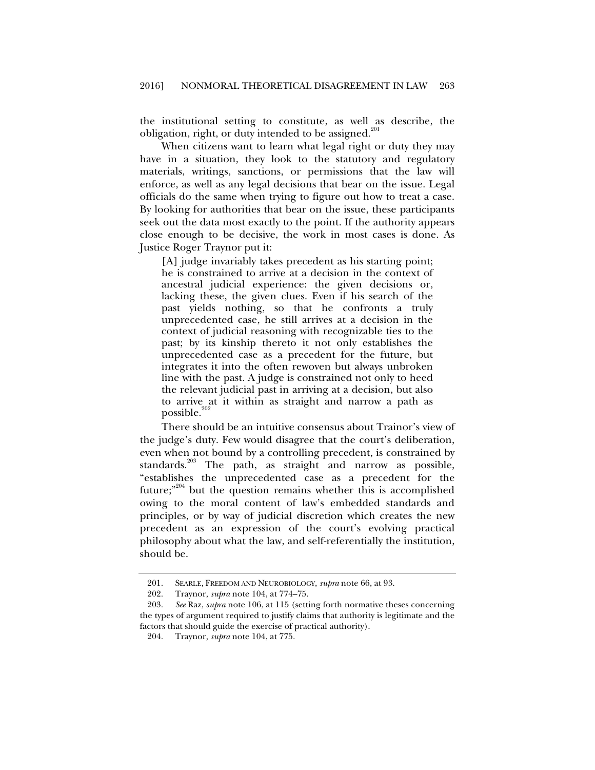the institutional setting to constitute, as well as describe, the obligation, right, or duty intended to be assigned.<sup>201</sup>

When citizens want to learn what legal right or duty they may have in a situation, they look to the statutory and regulatory materials, writings, sanctions, or permissions that the law will enforce, as well as any legal decisions that bear on the issue. Legal officials do the same when trying to figure out how to treat a case. By looking for authorities that bear on the issue, these participants seek out the data most exactly to the point. If the authority appears close enough to be decisive, the work in most cases is done. As Justice Roger Traynor put it:

[A] judge invariably takes precedent as his starting point; he is constrained to arrive at a decision in the context of ancestral judicial experience: the given decisions or, lacking these, the given clues. Even if his search of the past yields nothing, so that he confronts a truly unprecedented case, he still arrives at a decision in the context of judicial reasoning with recognizable ties to the past; by its kinship thereto it not only establishes the unprecedented case as a precedent for the future, but integrates it into the often rewoven but always unbroken line with the past. A judge is constrained not only to heed the relevant judicial past in arriving at a decision, but also to arrive at it within as straight and narrow a path as  $possible.<sup>202</sup>$ 

There should be an intuitive consensus about Trainor's view of the judge's duty. Few would disagree that the court's deliberation, even when not bound by a controlling precedent, is constrained by standards.<sup>203</sup> The path, as straight and narrow as possible, "establishes the unprecedented case as a precedent for the future;<sup>"204</sup> but the question remains whether this is accomplished owing to the moral content of law's embedded standards and principles, or by way of judicial discretion which creates the new precedent as an expression of the court's evolving practical philosophy about what the law, and self-referentially the institution, should be.

 <sup>201.</sup> SEARLE, FREEDOM AND NEUROBIOLOGY, *supra* note 66, at 93.

 <sup>202.</sup> Traynor, *supra* note 104, at 774–75.

 <sup>203.</sup> *See* Raz, *supra* note 106, at 115 (setting forth normative theses concerning the types of argument required to justify claims that authority is legitimate and the factors that should guide the exercise of practical authority).

 <sup>204.</sup> Traynor, *supra* note 104, at 775.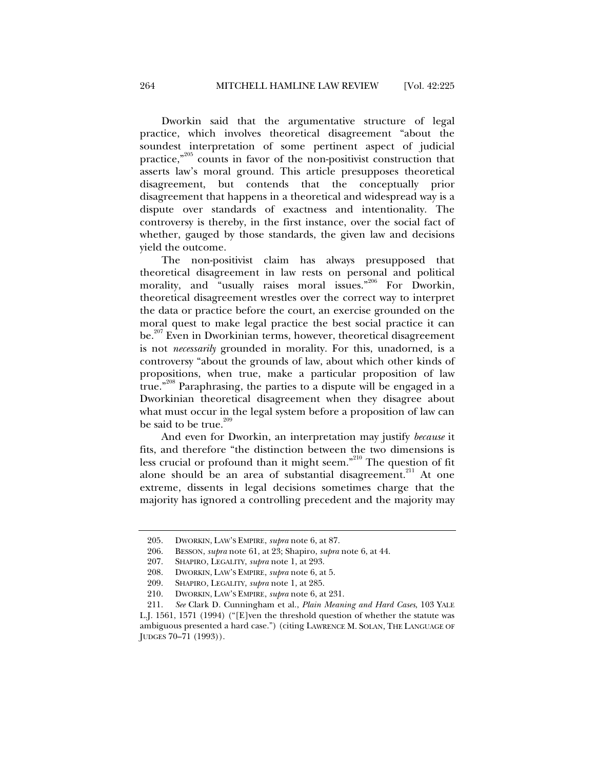Dworkin said that the argumentative structure of legal practice, which involves theoretical disagreement "about the soundest interpretation of some pertinent aspect of judicial practice,"<sup>205</sup> counts in favor of the non-positivist construction that asserts law's moral ground. This article presupposes theoretical disagreement, but contends that the conceptually prior disagreement that happens in a theoretical and widespread way is a dispute over standards of exactness and intentionality. The controversy is thereby, in the first instance, over the social fact of whether, gauged by those standards, the given law and decisions yield the outcome.

The non-positivist claim has always presupposed that theoretical disagreement in law rests on personal and political morality, and "usually raises moral issues."<sup>206</sup> For Dworkin, theoretical disagreement wrestles over the correct way to interpret the data or practice before the court, an exercise grounded on the moral quest to make legal practice the best social practice it can be.<sup>207</sup> Even in Dworkinian terms, however, theoretical disagreement is not *necessarily* grounded in morality. For this, unadorned, is a controversy "about the grounds of law, about which other kinds of propositions, when true, make a particular proposition of law true."<sup>208</sup> Paraphrasing, the parties to a dispute will be engaged in a Dworkinian theoretical disagreement when they disagree about what must occur in the legal system before a proposition of law can be said to be true. $209$ 

And even for Dworkin, an interpretation may justify *because* it fits, and therefore "the distinction between the two dimensions is less crucial or profound than it might seem."210 The question of fit alone should be an area of substantial disagreement.<sup>211</sup> At one extreme, dissents in legal decisions sometimes charge that the majority has ignored a controlling precedent and the majority may

 <sup>205.</sup> DWORKIN, LAW'S EMPIRE, *supra* note 6, at 87.

 <sup>206.</sup> BESSON, *supra* note 61, at 23; Shapiro, *supra* note 6, at 44.

 <sup>207.</sup> SHAPIRO, LEGALITY, *supra* note 1, at 293.

 <sup>208.</sup> DWORKIN, LAW'S EMPIRE, *supra* note 6, at 5.

 <sup>209.</sup> SHAPIRO, LEGALITY, *supra* note 1, at 285.

 <sup>210.</sup> DWORKIN, LAW'S EMPIRE, *supra* note 6, at 231.

 <sup>211.</sup> *See* Clark D. Cunningham et al., *Plain Meaning and Hard Cases*, 103 YALE

L.J. 1561, 1571 (1994) ("[E]ven the threshold question of whether the statute was ambiguous presented a hard case.") (citing LAWRENCE M. SOLAN, THE LANGUAGE OF JUDGES 70–71 (1993)).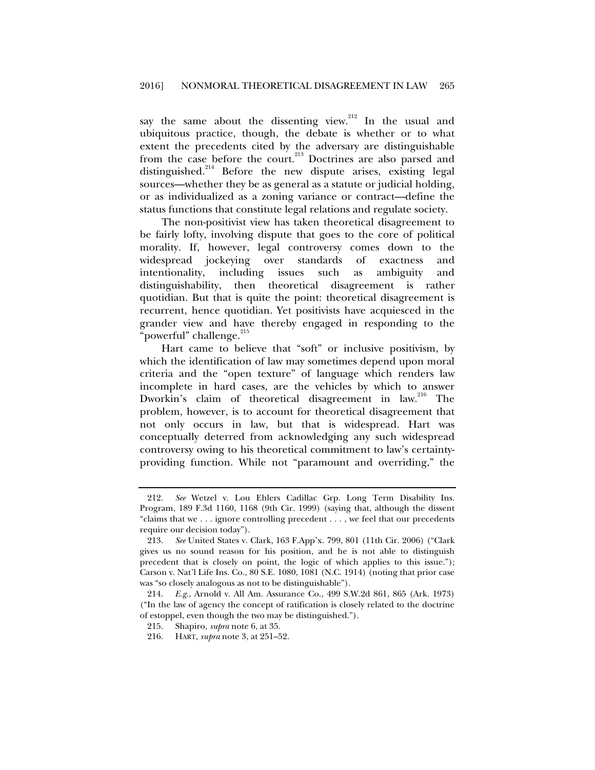say the same about the dissenting view.<sup>212</sup> In the usual and ubiquitous practice, though, the debate is whether or to what extent the precedents cited by the adversary are distinguishable from the case before the court.<sup>213</sup> Doctrines are also parsed and distinguished.<sup>214</sup> Before the new dispute arises, existing legal sources—whether they be as general as a statute or judicial holding, or as individualized as a zoning variance or contract—define the status functions that constitute legal relations and regulate society.

The non-positivist view has taken theoretical disagreement to be fairly lofty, involving dispute that goes to the core of political morality. If, however, legal controversy comes down to the widespread jockeying over standards of exactness and intentionality, including issues such as ambiguity and distinguishability, then theoretical disagreement is rather quotidian. But that is quite the point: theoretical disagreement is recurrent, hence quotidian. Yet positivists have acquiesced in the grander view and have thereby engaged in responding to the "powerful" challenge.<sup>215</sup>

Hart came to believe that "soft" or inclusive positivism, by which the identification of law may sometimes depend upon moral criteria and the "open texture" of language which renders law incomplete in hard cases, are the vehicles by which to answer Dworkin's claim of theoretical disagreement in law.<sup>216</sup> The problem, however, is to account for theoretical disagreement that not only occurs in law, but that is widespread. Hart was conceptually deterred from acknowledging any such widespread controversy owing to his theoretical commitment to law's certaintyproviding function. While not "paramount and overriding," the

 <sup>212.</sup> *See* Wetzel v. Lou Ehlers Cadillac Grp. Long Term Disability Ins. Program, 189 F.3d 1160, 1168 (9th Cir. 1999) (saying that, although the dissent "claims that we . . . ignore controlling precedent . . . , we feel that our precedents require our decision today").

 <sup>213.</sup> *See* United States v. Clark, 163 F.App'x. 799, 801 (11th Cir. 2006) ("Clark gives us no sound reason for his position, and he is not able to distinguish precedent that is closely on point, the logic of which applies to this issue."); Carson v. Nat'l Life Ins. Co., 80 S.E. 1080, 1081 (N.C. 1914) (noting that prior case was "so closely analogous as not to be distinguishable").

 <sup>214.</sup> *E.g.*, Arnold v. All Am. Assurance Co., 499 S.W.2d 861, 865 (Ark. 1973) ("In the law of agency the concept of ratification is closely related to the doctrine of estoppel, even though the two may be distinguished.").

 <sup>215.</sup> Shapiro, *supra* note 6, at 35.

 <sup>216.</sup> HART, *supra* note 3, at 251–52.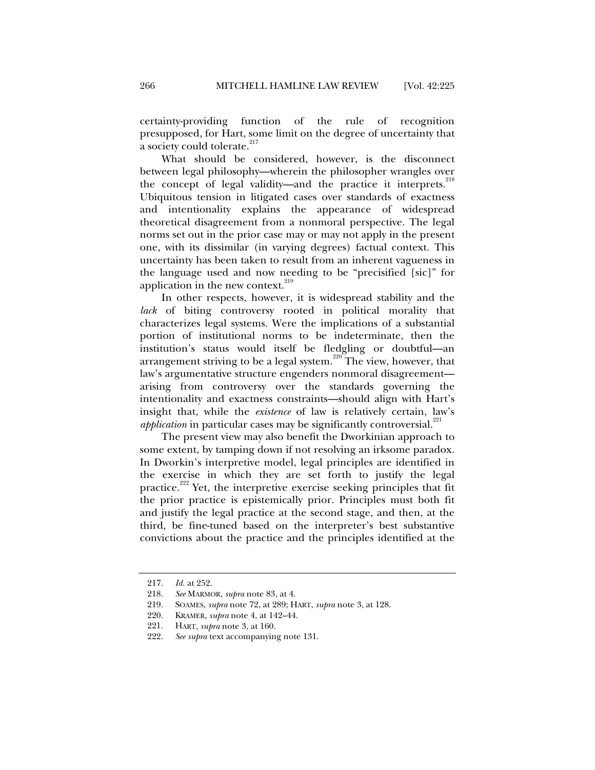certainty-providing function of the rule of recognition presupposed, for Hart, some limit on the degree of uncertainty that a society could tolerate.<sup>217</sup>

What should be considered, however, is the disconnect between legal philosophy—wherein the philosopher wrangles over the concept of legal validity—and the practice it interprets. $^{218}$ Ubiquitous tension in litigated cases over standards of exactness and intentionality explains the appearance of widespread theoretical disagreement from a nonmoral perspective. The legal norms set out in the prior case may or may not apply in the present one, with its dissimilar (in varying degrees) factual context. This uncertainty has been taken to result from an inherent vagueness in the language used and now needing to be "precisified [sic]" for application in the new context. $219$ 

In other respects, however, it is widespread stability and the *lack* of biting controversy rooted in political morality that characterizes legal systems. Were the implications of a substantial portion of institutional norms to be indeterminate, then the institution's status would itself be fledgling or doubtful—an arrangement striving to be a legal system.<sup>220</sup> The view, however, that law's argumentative structure engenders nonmoral disagreement arising from controversy over the standards governing the intentionality and exactness constraints—should align with Hart's insight that, while the *existence* of law is relatively certain, law's *application* in particular cases may be significantly controversial.<sup>221</sup>

The present view may also benefit the Dworkinian approach to some extent, by tamping down if not resolving an irksome paradox. In Dworkin's interpretive model, legal principles are identified in the exercise in which they are set forth to justify the legal practice.<sup>222</sup> Yet, the interpretive exercise seeking principles that fit the prior practice is epistemically prior. Principles must both fit and justify the legal practice at the second stage, and then, at the third, be fine-tuned based on the interpreter's best substantive convictions about the practice and the principles identified at the

 <sup>217.</sup> *Id.* at 252.

 <sup>218.</sup> *See* MARMOR, *supra* note 83, at 4.

 <sup>219.</sup> SOAMES, *supra* note 72, at 289; HART, *supra* note 3, at 128.

 <sup>220.</sup> KRAMER, *supra* note 4, at 142–44.

 <sup>221.</sup> HART, *supra* note 3, at 160.

 <sup>222.</sup> *See supra* text accompanying note 131.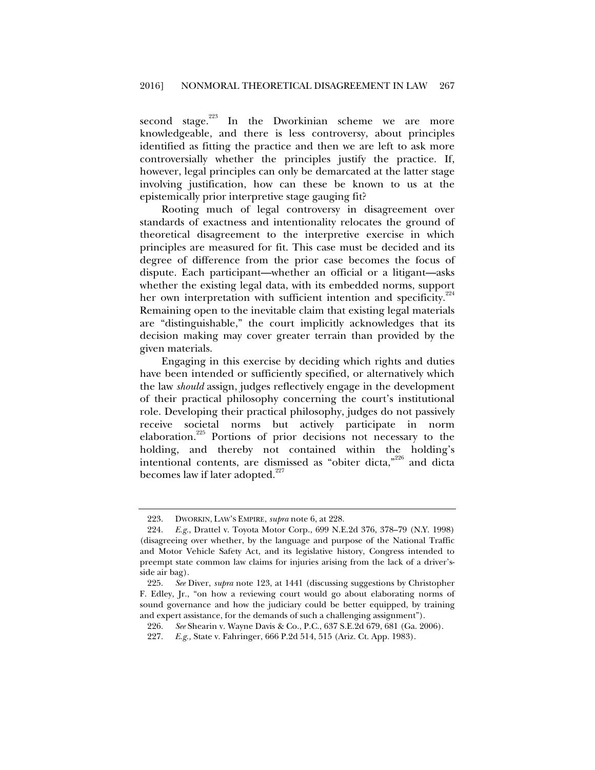second stage.<sup>223</sup> In the Dworkinian scheme we are more knowledgeable, and there is less controversy, about principles identified as fitting the practice and then we are left to ask more controversially whether the principles justify the practice. If, however, legal principles can only be demarcated at the latter stage involving justification, how can these be known to us at the epistemically prior interpretive stage gauging fit?

Rooting much of legal controversy in disagreement over standards of exactness and intentionality relocates the ground of theoretical disagreement to the interpretive exercise in which principles are measured for fit. This case must be decided and its degree of difference from the prior case becomes the focus of dispute. Each participant—whether an official or a litigant—asks whether the existing legal data, with its embedded norms, support her own interpretation with sufficient intention and specificity.<sup>224</sup> Remaining open to the inevitable claim that existing legal materials are "distinguishable," the court implicitly acknowledges that its decision making may cover greater terrain than provided by the given materials.

Engaging in this exercise by deciding which rights and duties have been intended or sufficiently specified, or alternatively which the law *should* assign, judges reflectively engage in the development of their practical philosophy concerning the court's institutional role. Developing their practical philosophy, judges do not passively receive societal norms but actively participate in norm elaboration.225 Portions of prior decisions not necessary to the holding, and thereby not contained within the holding's intentional contents, are dismissed as "obiter dicta,"<sup>226</sup> and dicta becomes law if later adopted. $227$ 

 <sup>223.</sup> DWORKIN, LAW'S EMPIRE, *supra* note 6, at 228.

 <sup>224.</sup> *E.g.*, Drattel v. Toyota Motor Corp., 699 N.E.2d 376, 378–79 (N.Y. 1998) (disagreeing over whether, by the language and purpose of the National Traffic and Motor Vehicle Safety Act, and its legislative history, Congress intended to preempt state common law claims for injuries arising from the lack of a driver'sside air bag).

 <sup>225.</sup> *See* Diver, *supra* note 123, at 1441 (discussing suggestions by Christopher F. Edley, Jr., "on how a reviewing court would go about elaborating norms of sound governance and how the judiciary could be better equipped, by training and expert assistance, for the demands of such a challenging assignment").

 <sup>226.</sup> *See* Shearin v. Wayne Davis & Co., P.C., 637 S.E.2d 679, 681 (Ga. 2006).

 <sup>227.</sup> *E.g.,* State v. Fahringer, 666 P.2d 514, 515 (Ariz. Ct. App. 1983).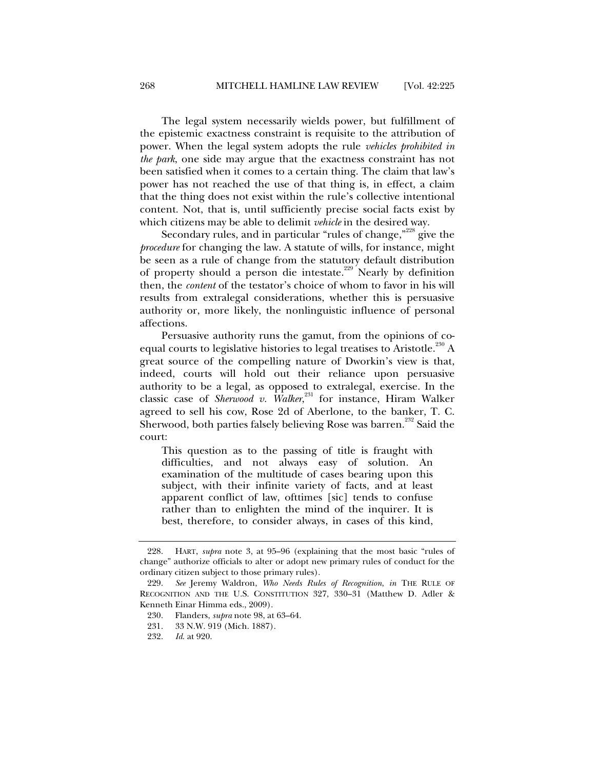The legal system necessarily wields power, but fulfillment of the epistemic exactness constraint is requisite to the attribution of power. When the legal system adopts the rule *vehicles prohibited in the park*, one side may argue that the exactness constraint has not been satisfied when it comes to a certain thing. The claim that law's power has not reached the use of that thing is, in effect, a claim that the thing does not exist within the rule's collective intentional content. Not, that is, until sufficiently precise social facts exist by which citizens may be able to delimit *vehicle* in the desired way.

Secondary rules, and in particular "rules of change,"<sup>228</sup> give the *procedure* for changing the law. A statute of wills, for instance, might be seen as a rule of change from the statutory default distribution of property should a person die intestate.<sup>229</sup> Nearly by definition then, the *content* of the testator's choice of whom to favor in his will results from extralegal considerations, whether this is persuasive authority or, more likely, the nonlinguistic influence of personal affections.

Persuasive authority runs the gamut, from the opinions of coequal courts to legislative histories to legal treatises to Aristotle.<sup>230</sup> A great source of the compelling nature of Dworkin's view is that, indeed, courts will hold out their reliance upon persuasive authority to be a legal, as opposed to extralegal, exercise. In the classic case of *Sherwood v. Walker*,<sup>231</sup> for instance, Hiram Walker agreed to sell his cow, Rose 2d of Aberlone, to the banker, T. C. Sherwood, both parties falsely believing Rose was barren.<sup>232</sup> Said the court:

This question as to the passing of title is fraught with difficulties, and not always easy of solution. An examination of the multitude of cases bearing upon this subject, with their infinite variety of facts, and at least apparent conflict of law, ofttimes [sic] tends to confuse rather than to enlighten the mind of the inquirer. It is best, therefore, to consider always, in cases of this kind,

 <sup>228.</sup> HART, *supra* note 3, at 95–96 (explaining that the most basic "rules of change" authorize officials to alter or adopt new primary rules of conduct for the ordinary citizen subject to those primary rules).

 <sup>229.</sup> *See* Jeremy Waldron, *Who Needs Rules of Recognition*, *in* THE RULE OF RECOGNITION AND THE U.S. CONSTITUTION 327, 330–31 (Matthew D. Adler & Kenneth Einar Himma eds., 2009).

 <sup>230.</sup> Flanders, *supra* note 98, at 63–64.

 <sup>231. 33</sup> N.W. 919 (Mich. 1887).

 <sup>232.</sup> *Id*. at 920.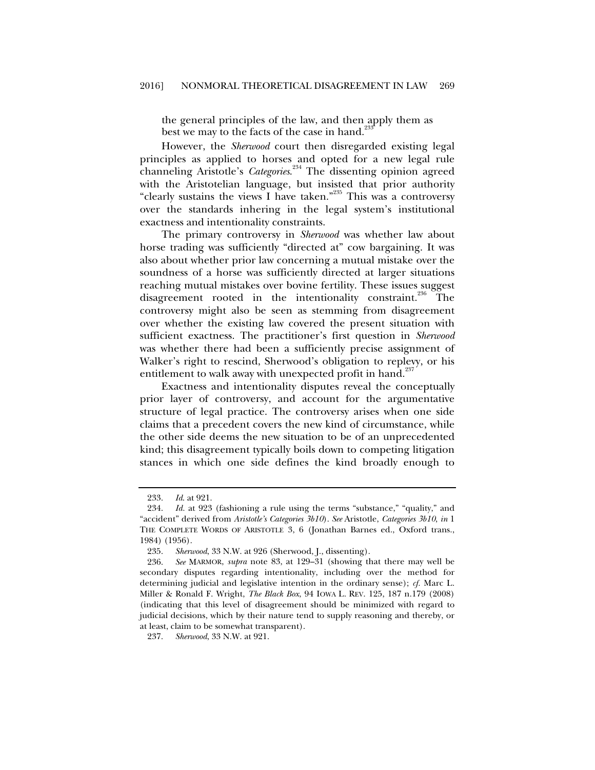the general principles of the law, and then apply them as best we may to the facts of the case in hand.<sup>2</sup>

However, the *Sherwood* court then disregarded existing legal principles as applied to horses and opted for a new legal rule channeling Aristotle's *Categories*. 234 The dissenting opinion agreed with the Aristotelian language, but insisted that prior authority "clearly sustains the views I have taken."<sup>235</sup> This was a controversy over the standards inhering in the legal system's institutional exactness and intentionality constraints.

The primary controversy in *Sherwood* was whether law about horse trading was sufficiently "directed at" cow bargaining. It was also about whether prior law concerning a mutual mistake over the soundness of a horse was sufficiently directed at larger situations reaching mutual mistakes over bovine fertility. These issues suggest disagreement rooted in the intentionality constraint.<sup>236</sup> The controversy might also be seen as stemming from disagreement over whether the existing law covered the present situation with sufficient exactness. The practitioner's first question in *Sherwood*  was whether there had been a sufficiently precise assignment of Walker's right to rescind, Sherwood's obligation to replevy, or his entitlement to walk away with unexpected profit in hand.<sup>237</sup>

Exactness and intentionality disputes reveal the conceptually prior layer of controversy, and account for the argumentative structure of legal practice. The controversy arises when one side claims that a precedent covers the new kind of circumstance, while the other side deems the new situation to be of an unprecedented kind; this disagreement typically boils down to competing litigation stances in which one side defines the kind broadly enough to

 <sup>233.</sup> *Id*. at 921.

 <sup>234.</sup> *Id.* at 923 (fashioning a rule using the terms "substance," "quality," and "accident" derived from *Aristotle's Categories 3b10*). *See* Aristotle, *Categories 3b10*, *in* 1 THE COMPLETE WORDS OF ARISTOTLE 3, 6 (Jonathan Barnes ed., Oxford trans., 1984) (1956).

 <sup>235.</sup> *Sherwood*, 33 N.W. at 926 (Sherwood, J., dissenting).

 <sup>236.</sup> *See* MARMOR, *supra* note 83, at 129–31 (showing that there may well be secondary disputes regarding intentionality, including over the method for determining judicial and legislative intention in the ordinary sense); *cf.* Marc L. Miller & Ronald F. Wright, *The Black Box*, 94 IOWA L. REV. 125, 187 n.179 (2008) (indicating that this level of disagreement should be minimized with regard to judicial decisions, which by their nature tend to supply reasoning and thereby, or at least, claim to be somewhat transparent).

 <sup>237.</sup> *Sherwood*, 33 N.W. at 921.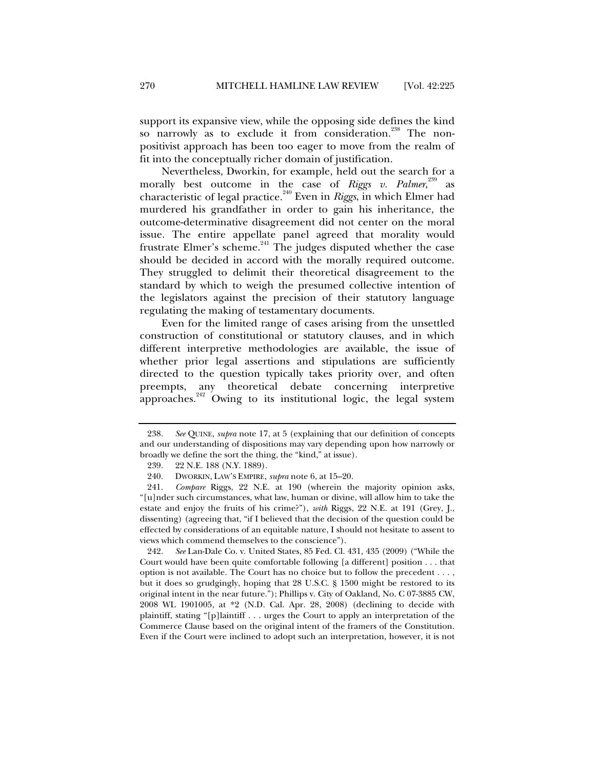support its expansive view, while the opposing side defines the kind so narrowly as to exclude it from consideration.<sup>238</sup> The nonpositivist approach has been too eager to move from the realm of fit into the conceptually richer domain of justification.

Nevertheless, Dworkin, for example, held out the search for a morally best outcome in the case of *Riggs v. Palmer*, 239 as characteristic of legal practice.<sup>240</sup> Even in *Riggs*, in which Elmer had murdered his grandfather in order to gain his inheritance, the outcome-determinative disagreement did not center on the moral issue. The entire appellate panel agreed that morality would frustrate Elmer's scheme. $^{241}$  The judges disputed whether the case should be decided in accord with the morally required outcome. They struggled to delimit their theoretical disagreement to the standard by which to weigh the presumed collective intention of the legislators against the precision of their statutory language regulating the making of testamentary documents.

Even for the limited range of cases arising from the unsettled construction of constitutional or statutory clauses, and in which different interpretive methodologies are available, the issue of whether prior legal assertions and stipulations are sufficiently directed to the question typically takes priority over, and often preempts, any theoretical debate concerning interpretive approaches.<sup>242</sup> Owing to its institutional logic, the legal system

 242. *See* Lan-Dale Co. v. United States, 85 Fed. Cl. 431, 435 (2009) ("While the Court would have been quite comfortable following [a different] position . . . that option is not available. The Court has no choice but to follow the precedent . . . , but it does so grudgingly, hoping that 28 U.S.C. § 1500 might be restored to its original intent in the near future."); Phillips v. City of Oakland, No. C 07-3885 CW, 2008 WL 1901005, at \*2 (N.D. Cal. Apr. 28, 2008) (declining to decide with plaintiff, stating "[p]laintiff . . . urges the Court to apply an interpretation of the Commerce Clause based on the original intent of the framers of the Constitution. Even if the Court were inclined to adopt such an interpretation, however, it is not

 <sup>238.</sup> *See* QUINE, *supra* note 17, at 5 (explaining that our definition of concepts and our understanding of dispositions may vary depending upon how narrowly or broadly we define the sort the thing, the "kind," at issue).

 <sup>239. 22</sup> N.E. 188 (N.Y. 1889).

 <sup>240.</sup> DWORKIN, LAW'S EMPIRE, *supra* note 6, at 15–20.

 <sup>241.</sup> *Compare* Riggs, 22 N.E. at 190 (wherein the majority opinion asks, "[u]nder such circumstances, what law, human or divine, will allow him to take the estate and enjoy the fruits of his crime?"), *with* Riggs, 22 N.E. at 191 (Grey, J., dissenting) (agreeing that, "if I believed that the decision of the question could be effected by considerations of an equitable nature, I should not hesitate to assent to views which commend themselves to the conscience").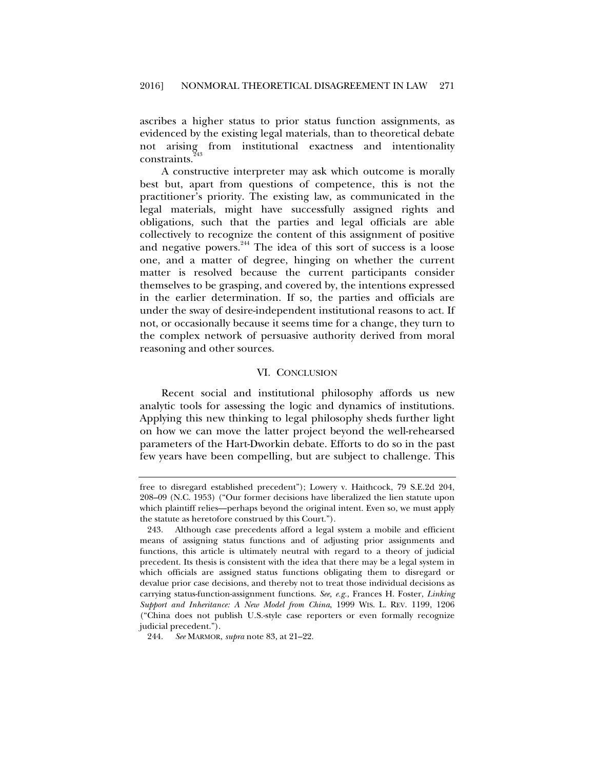ascribes a higher status to prior status function assignments, as evidenced by the existing legal materials, than to theoretical debate not arising from institutional exactness and intentionality constraints.<sup>2</sup>

A constructive interpreter may ask which outcome is morally best but, apart from questions of competence, this is not the practitioner's priority. The existing law, as communicated in the legal materials, might have successfully assigned rights and obligations, such that the parties and legal officials are able collectively to recognize the content of this assignment of positive and negative powers.<sup>244</sup> The idea of this sort of success is a loose one, and a matter of degree, hinging on whether the current matter is resolved because the current participants consider themselves to be grasping, and covered by, the intentions expressed in the earlier determination. If so, the parties and officials are under the sway of desire-independent institutional reasons to act. If not, or occasionally because it seems time for a change, they turn to the complex network of persuasive authority derived from moral reasoning and other sources.

#### VI. CONCLUSION

Recent social and institutional philosophy affords us new analytic tools for assessing the logic and dynamics of institutions. Applying this new thinking to legal philosophy sheds further light on how we can move the latter project beyond the well-rehearsed parameters of the Hart-Dworkin debate. Efforts to do so in the past few years have been compelling, but are subject to challenge. This

free to disregard established precedent"); Lowery v. Haithcock, 79 S.E.2d 204, 208–09 (N.C. 1953) ("Our former decisions have liberalized the lien statute upon which plaintiff relies—perhaps beyond the original intent. Even so, we must apply the statute as heretofore construed by this Court.").

 <sup>243.</sup> Although case precedents afford a legal system a mobile and efficient means of assigning status functions and of adjusting prior assignments and functions, this article is ultimately neutral with regard to a theory of judicial precedent. Its thesis is consistent with the idea that there may be a legal system in which officials are assigned status functions obligating them to disregard or devalue prior case decisions, and thereby not to treat those individual decisions as carrying status-function-assignment functions. *See, e.g.*, Frances H. Foster, *Linking Support and Inheritance: A New Model from China*, 1999 WIS. L. REV. 1199, 1206 ("China does not publish U.S.-style case reporters or even formally recognize judicial precedent.").

 <sup>244.</sup> *See* MARMOR, *supra* note 83, at 21–22.